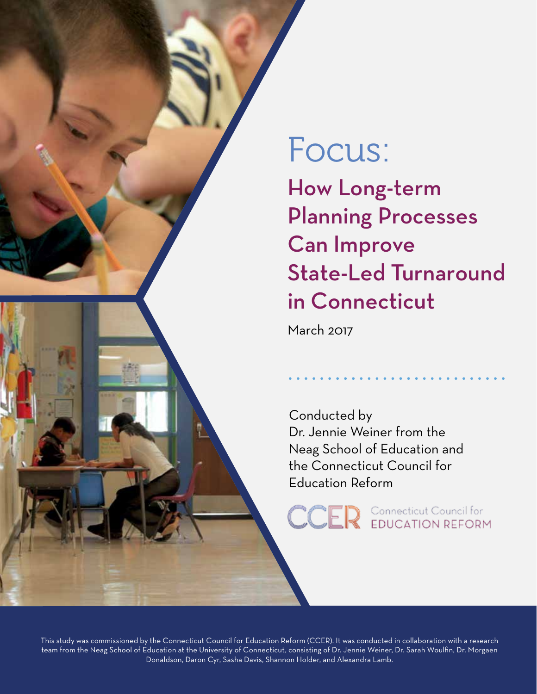# Focus:

How Long-term Planning Processes Can Improve State‑Led Turnaround in Connecticut

March 2017

# Conducted by Dr. Jennie Weiner from the Neag School of Education and the Connecticut Council for Education Reform

Connecticut Council for<br>EDUCATION REFORM

This study was commissioned by the Connecticut Council for Education Reform (CCER). It was conducted in collaboration with a research team from the Neag School of Education at the University of Connecticut, consisting of Dr. Jennie Weiner, Dr. Sarah Woulfin, Dr. Morgaen Donaldson, Daron Cyr, Sasha Davis, Shannon Holder, and Alexandra Lamb.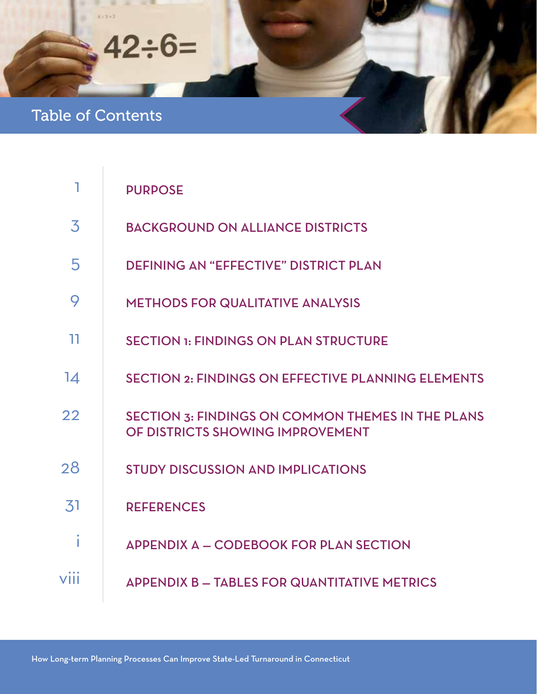

|                | <b>PURPOSE</b>                                                                               |
|----------------|----------------------------------------------------------------------------------------------|
| $\overline{3}$ | <b>BACKGROUND ON ALLIANCE DISTRICTS</b>                                                      |
| 5              | <b>DEFINING AN "EFFECTIVE" DISTRICT PLAN</b>                                                 |
| 9              | <b>METHODS FOR QUALITATIVE ANALYSIS</b>                                                      |
| 11             | <b>SECTION 1: FINDINGS ON PLAN STRUCTURE</b>                                                 |
| 14             | <b>SECTION 2: FINDINGS ON EFFECTIVE PLANNING ELEMENTS</b>                                    |
| 22             | <b>SECTION 3: FINDINGS ON COMMON THEMES IN THE PLANS</b><br>OF DISTRICTS SHOWING IMPROVEMENT |
| 28             | <b>STUDY DISCUSSION AND IMPLICATIONS</b>                                                     |
| 31             | <b>REFERENCES</b>                                                                            |
|                | <b>APPENDIX A - CODEBOOK FOR PLAN SECTION</b>                                                |
|                | <b>APPENDIX B - TABLES FOR QUANTITATIVE METRICS</b>                                          |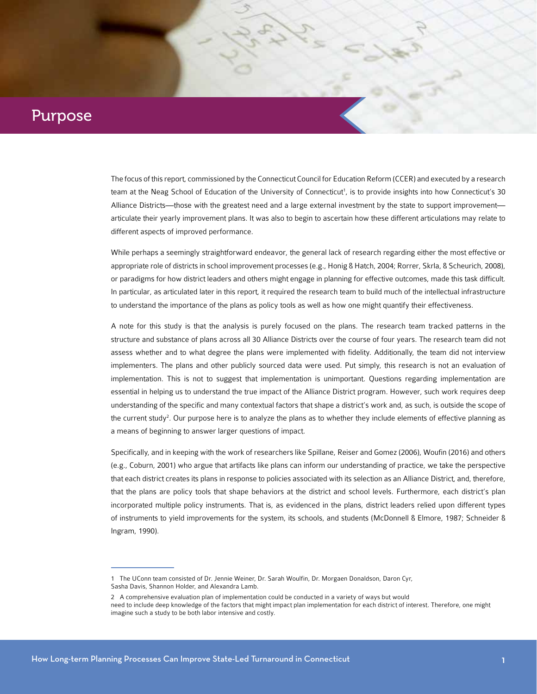# <span id="page-2-0"></span>Purpose

The focus of this report, commissioned by the Connecticut Council for Education Reform (CCER) and executed by a research team at the Neag School of Education of the University of Connecticut<sup>1</sup>, is to provide insights into how Connecticut's 30 Alliance Districts—those with the greatest need and a large external investment by the state to support improvement articulate their yearly improvement plans. It was also to begin to ascertain how these different articulations may relate to different aspects of improved performance.

While perhaps a seemingly straightforward endeavor, the general lack of research regarding either the most effective or appropriate role of districts in school improvement processes (e.g., Honig & Hatch, 2004; Rorrer, Skrla, & Scheurich, 2008), or paradigms for how district leaders and others might engage in planning for effective outcomes, made this task difficult. In particular, as articulated later in this report, it required the research team to build much of the intellectual infrastructure to understand the importance of the plans as policy tools as well as how one might quantify their effectiveness.

A note for this study is that the analysis is purely focused on the plans. The research team tracked patterns in the structure and substance of plans across all 30 Alliance Districts over the course of four years. The research team did not assess whether and to what degree the plans were implemented with fidelity. Additionally, the team did not interview implementers. The plans and other publicly sourced data were used. Put simply, this research is not an evaluation of implementation. This is not to suggest that implementation is unimportant. Questions regarding implementation are essential in helping us to understand the true impact of the Alliance District program. However, such work requires deep understanding of the specific and many contextual factors that shape a district's work and, as such, is outside the scope of the current study<sup>2</sup>. Our purpose here is to analyze the plans as to whether they include elements of effective planning as a means of beginning to answer larger questions of impact.

Specifically, and in keeping with the work of researchers like Spillane, Reiser and Gomez (2006), Woufin (2016) and others (e.g., Coburn, 2001) who argue that artifacts like plans can inform our understanding of practice, we take the perspective that each district creates its plans in response to policies associated with its selection as an Alliance District, and, therefore, that the plans are policy tools that shape behaviors at the district and school levels. Furthermore, each district's plan incorporated multiple policy instruments. That is, as evidenced in the plans, district leaders relied upon different types of instruments to yield improvements for the system, its schools, and students (McDonnell & Elmore, 1987; Schneider & Ingram, 1990).

<sup>1</sup> The UConn team consisted of Dr. Jennie Weiner, Dr. Sarah Woulfin, Dr. Morgaen Donaldson, Daron Cyr, Sasha Davis, Shannon Holder, and Alexandra Lamb.

<sup>2</sup> A comprehensive evaluation plan of implementation could be conducted in a variety of ways but would

need to include deep knowledge of the factors that might impact plan implementation for each district of interest. Therefore, one might imagine such a study to be both labor intensive and costly.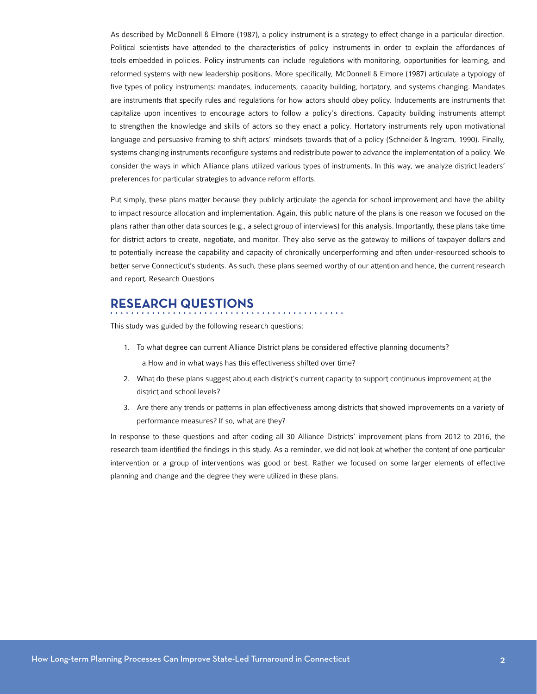As described by McDonnell & Elmore (1987), a policy instrument is a strategy to effect change in a particular direction. Political scientists have attended to the characteristics of policy instruments in order to explain the affordances of tools embedded in policies. Policy instruments can include regulations with monitoring, opportunities for learning, and reformed systems with new leadership positions. More specifically, McDonnell & Elmore (1987) articulate a typology of five types of policy instruments: mandates, inducements, capacity building, hortatory, and systems changing. Mandates are instruments that specify rules and regulations for how actors should obey policy. Inducements are instruments that capitalize upon incentives to encourage actors to follow a policy's directions. Capacity building instruments attempt to strengthen the knowledge and skills of actors so they enact a policy. Hortatory instruments rely upon motivational language and persuasive framing to shift actors' mindsets towards that of a policy (Schneider & Ingram, 1990). Finally, systems changing instruments reconfigure systems and redistribute power to advance the implementation of a policy. We consider the ways in which Alliance plans utilized various types of instruments. In this way, we analyze district leaders' preferences for particular strategies to advance reform efforts.

Put simply, these plans matter because they publicly articulate the agenda for school improvement and have the ability to impact resource allocation and implementation. Again, this public nature of the plans is one reason we focused on the plans rather than other data sources (e.g., a select group of interviews) for this analysis. Importantly, these plans take time for district actors to create, negotiate, and monitor. They also serve as the gateway to millions of taxpayer dollars and to potentially increase the capability and capacity of chronically underperforming and often under-resourced schools to better serve Connecticut's students. As such, these plans seemed worthy of our attention and hence, the current research and report. Research Questions

### **RESEARCH QUESTIONS**

This study was guided by the following research questions:

1. To what degree can current Alliance District plans be considered effective planning documents?

a.How and in what ways has this effectiveness shifted over time?

- 2. What do these plans suggest about each district's current capacity to support continuous improvement at the district and school levels?
- 3. Are there any trends or patterns in plan effectiveness among districts that showed improvements on a variety of performance measures? If so, what are they?

In response to these questions and after coding all 30 Alliance Districts' improvement plans from 2012 to 2016, the research team identified the findings in this study. As a reminder, we did not look at whether the content of one particular intervention or a group of interventions was good or best. Rather we focused on some larger elements of effective planning and change and the degree they were utilized in these plans.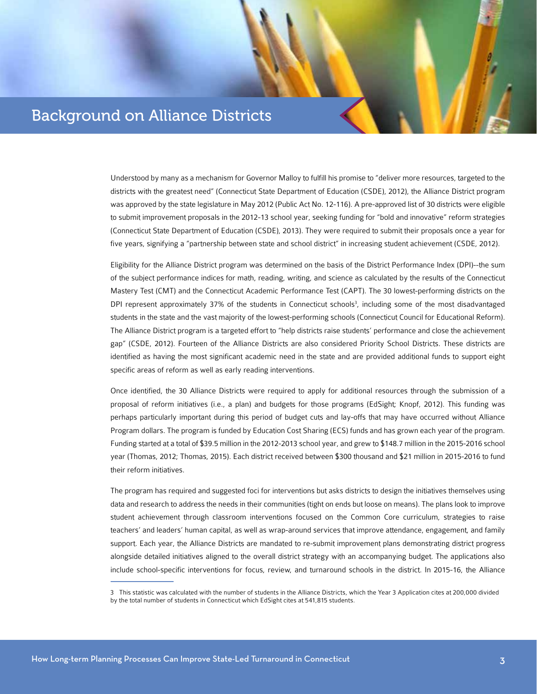# <span id="page-4-0"></span>Background on Alliance Districts

Understood by many as a mechanism for Governor Malloy to fulfill his promise to "deliver more resources, targeted to the districts with the greatest need" (Connecticut State Department of Education (CSDE), 2012), the Alliance District program was approved by the state legislature in May 2012 (Public Act No. 12-116). A pre-approved list of 30 districts were eligible to submit improvement proposals in the 2012-13 school year, seeking funding for "bold and innovative" reform strategies (Connecticut State Department of Education (CSDE), 2013). They were required to submit their proposals once a year for five years, signifying a "partnership between state and school district" in increasing student achievement (CSDE, 2012).

Eligibility for the Alliance District program was determined on the basis of the District Performance Index (DPI)--the sum of the subject performance indices for math, reading, writing, and science as calculated by the results of the Connecticut Mastery Test (CMT) and the Connecticut Academic Performance Test (CAPT). The 30 lowest-performing districts on the DPI represent approximately 37% of the students in Connecticut schools<sup>3</sup>, including some of the most disadvantaged students in the state and the vast majority of the lowest-performing schools (Connecticut Council for Educational Reform). The Alliance District program is a targeted effort to "help districts raise students' performance and close the achievement gap" (CSDE, 2012). Fourteen of the Alliance Districts are also considered Priority School Districts. These districts are identified as having the most significant academic need in the state and are provided additional funds to support eight specific areas of reform as well as early reading interventions.

Once identified, the 30 Alliance Districts were required to apply for additional resources through the submission of a proposal of reform initiatives (i.e., a plan) and budgets for those programs (EdSight; Knopf, 2012). This funding was perhaps particularly important during this period of budget cuts and lay-offs that may have occurred without Alliance Program dollars. The program is funded by Education Cost Sharing (ECS) funds and has grown each year of the program. Funding started at a total of \$39.5 million in the 2012-2013 school year, and grew to \$148.7 million in the 2015-2016 school year (Thomas, 2012; Thomas, 2015). Each district received between \$300 thousand and \$21 million in 2015-2016 to fund their reform initiatives.

The program has required and suggested foci for interventions but asks districts to design the initiatives themselves using data and research to address the needs in their communities (tight on ends but loose on means). The plans look to improve student achievement through classroom interventions focused on the Common Core curriculum, strategies to raise teachers' and leaders' human capital, as well as wrap-around services that improve attendance, engagement, and family support. Each year, the Alliance Districts are mandated to re-submit improvement plans demonstrating district progress alongside detailed initiatives aligned to the overall district strategy with an accompanying budget. The applications also include school-specific interventions for focus, review, and turnaround schools in the district. In 2015-16, the Alliance

÷

<sup>3</sup> This statistic was calculated with the number of students in the Alliance Districts, which the Year 3 Application cites at 200,000 divided by the total number of students in Connecticut which EdSight cites at 541,815 students.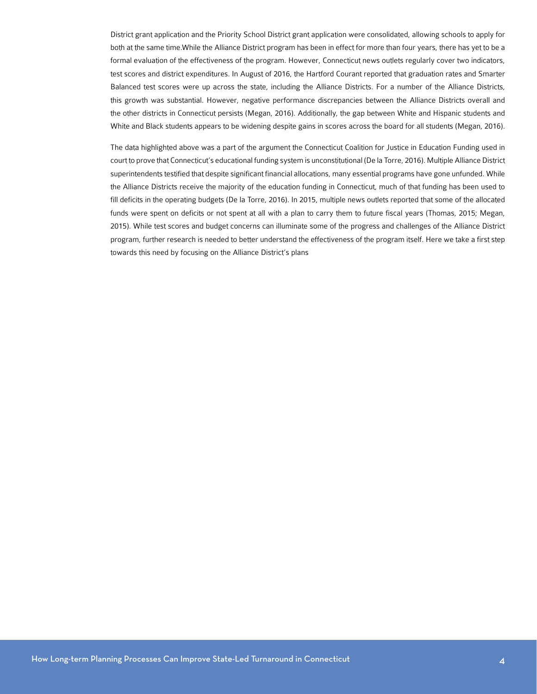District grant application and the Priority School District grant application were consolidated, allowing schools to apply for both at the same time.While the Alliance District program has been in effect for more than four years, there has yet to be a formal evaluation of the effectiveness of the program. However, Connecticut news outlets regularly cover two indicators, test scores and district expenditures. In August of 2016, the Hartford Courant reported that graduation rates and Smarter Balanced test scores were up across the state, including the Alliance Districts. For a number of the Alliance Districts, this growth was substantial. However, negative performance discrepancies between the Alliance Districts overall and the other districts in Connecticut persists (Megan, 2016). Additionally, the gap between White and Hispanic students and White and Black students appears to be widening despite gains in scores across the board for all students (Megan, 2016).

The data highlighted above was a part of the argument the Connecticut Coalition for Justice in Education Funding used in court to prove that Connecticut's educational funding system is unconstitutional (De la Torre, 2016). Multiple Alliance District superintendents testified that despite significant financial allocations, many essential programs have gone unfunded. While the Alliance Districts receive the majority of the education funding in Connecticut, much of that funding has been used to fill deficits in the operating budgets (De la Torre, 2016). In 2015, multiple news outlets reported that some of the allocated funds were spent on deficits or not spent at all with a plan to carry them to future fiscal years (Thomas, 2015; Megan, 2015). While test scores and budget concerns can illuminate some of the progress and challenges of the Alliance District program, further research is needed to better understand the effectiveness of the program itself. Here we take a first step towards this need by focusing on the Alliance District's plans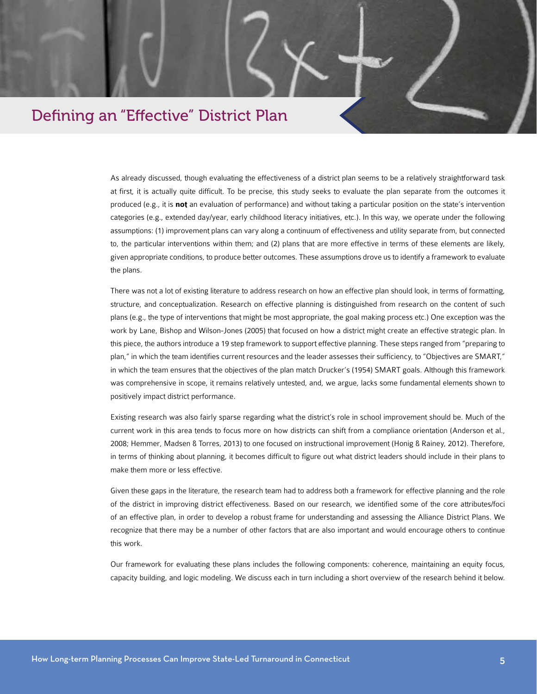# <span id="page-6-0"></span>Defining an "Effective" District Plan

As already discussed, though evaluating the effectiveness of a district plan seems to be a relatively straightforward task at first, it is actually quite difficult. To be precise, this study seeks to evaluate the plan separate from the outcomes it produced (e.g., it is **not** an evaluation of performance) and without taking a particular position on the state's intervention categories (e.g., extended day/year, early childhood literacy initiatives, etc.). In this way, we operate under the following assumptions: (1) improvement plans can vary along a continuum of effectiveness and utility separate from, but connected to, the particular interventions within them; and (2) plans that are more effective in terms of these elements are likely, given appropriate conditions, to produce better outcomes. These assumptions drove us to identify a framework to evaluate the plans.

There was not a lot of existing literature to address research on how an effective plan should look, in terms of formatting, structure, and conceptualization. Research on effective planning is distinguished from research on the content of such plans (e.g., the type of interventions that might be most appropriate, the goal making process etc.) One exception was the work by Lane, Bishop and Wilson-Jones (2005) that focused on how a district might create an effective strategic plan. In this piece, the authors introduce a 19 step framework to support effective planning. These steps ranged from "preparing to plan," in which the team identifies current resources and the leader assesses their sufficiency, to "Objectives are SMART," in which the team ensures that the objectives of the plan match Drucker's (1954) SMART goals. Although this framework was comprehensive in scope, it remains relatively untested, and, we argue, lacks some fundamental elements shown to positively impact district performance.

Existing research was also fairly sparse regarding what the district's role in school improvement should be. Much of the current work in this area tends to focus more on how districts can shift from a compliance orientation (Anderson et al., 2008; Hemmer, Madsen & Torres, 2013) to one focused on instructional improvement (Honig & Rainey, 2012). Therefore, in terms of thinking about planning, it becomes difficult to figure out what district leaders should include in their plans to make them more or less effective.

Given these gaps in the literature, the research team had to address both a framework for effective planning and the role of the district in improving district effectiveness. Based on our research, we identified some of the core attributes/foci of an effective plan, in order to develop a robust frame for understanding and assessing the Alliance District Plans. We recognize that there may be a number of other factors that are also important and would encourage others to continue this work.

Our framework for evaluating these plans includes the following components: coherence, maintaining an equity focus, capacity building, and logic modeling. We discuss each in turn including a short overview of the research behind it below.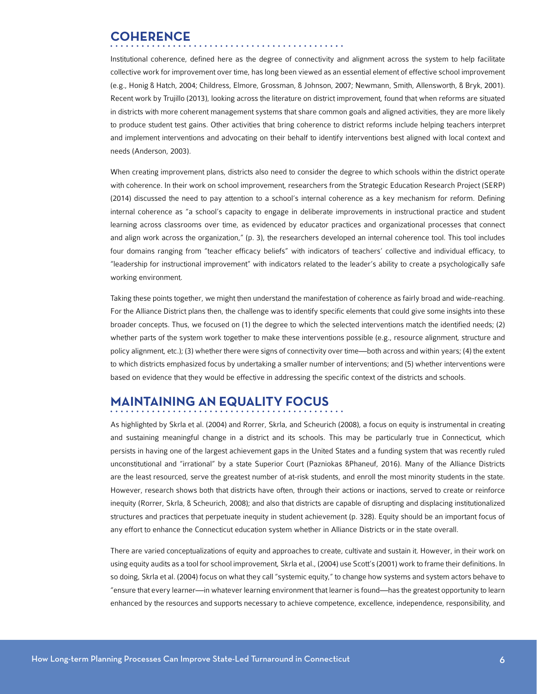### **COHERENCE**

Institutional coherence, defined here as the degree of connectivity and alignment across the system to help facilitate collective work for improvement over time, has long been viewed as an essential element of effective school improvement (e.g., Honig & Hatch, 2004; Childress, Elmore, Grossman, & Johnson, 2007; Newmann, Smith, Allensworth, & Bryk, 2001). Recent work by Trujillo (2013), looking across the literature on district improvement, found that when reforms are situated in districts with more coherent management systems that share common goals and aligned activities, they are more likely to produce student test gains. Other activities that bring coherence to district reforms include helping teachers interpret and implement interventions and advocating on their behalf to identify interventions best aligned with local context and needs (Anderson, 2003).

When creating improvement plans, districts also need to consider the degree to which schools within the district operate with coherence. In their work on school improvement, researchers from the Strategic Education Research Project (SERP) (2014) discussed the need to pay attention to a school's internal coherence as a key mechanism for reform. Defining internal coherence as "a school's capacity to engage in deliberate improvements in instructional practice and student learning across classrooms over time, as evidenced by educator practices and organizational processes that connect and align work across the organization," (p. 3), the researchers developed an internal coherence tool. This tool includes four domains ranging from "teacher efficacy beliefs" with indicators of teachers' collective and individual efficacy, to "leadership for instructional improvement" with indicators related to the leader's ability to create a psychologically safe working environment.

Taking these points together, we might then understand the manifestation of coherence as fairly broad and wide-reaching. For the Alliance District plans then, the challenge was to identify specific elements that could give some insights into these broader concepts. Thus, we focused on (1) the degree to which the selected interventions match the identified needs; (2) whether parts of the system work together to make these interventions possible (e.g., resource alignment, structure and policy alignment, etc.); (3) whether there were signs of connectivity over time—both across and within years; (4) the extent to which districts emphasized focus by undertaking a smaller number of interventions; and (5) whether interventions were based on evidence that they would be effective in addressing the specific context of the districts and schools.

### **MAINTAINING AN EQUALITY FOCUS**

As highlighted by Skrla et al. (2004) and Rorrer, Skrla, and Scheurich (2008), a focus on equity is instrumental in creating and sustaining meaningful change in a district and its schools. This may be particularly true in Connecticut, which persists in having one of the largest achievement gaps in the United States and a funding system that was recently ruled unconstitutional and "irrational" by a state Superior Court (Pazniokas &Phaneuf, 2016). Many of the Alliance Districts are the least resourced, serve the greatest number of at-risk students, and enroll the most minority students in the state. However, research shows both that districts have often, through their actions or inactions, served to create or reinforce inequity (Rorrer, Skrla, & Scheurich, 2008); and also that districts are capable of disrupting and displacing institutionalized structures and practices that perpetuate inequity in student achievement (p. 328). Equity should be an important focus of any effort to enhance the Connecticut education system whether in Alliance Districts or in the state overall.

There are varied conceptualizations of equity and approaches to create, cultivate and sustain it. However, in their work on using equity audits as a tool for school improvement, Skrla et al., (2004) use Scott's (2001) work to frame their definitions. In so doing, Skrla et al. (2004) focus on what they call "systemic equity," to change how systems and system actors behave to "ensure that every learner—in whatever learning environment that learner is found—has the greatest opportunity to learn enhanced by the resources and supports necessary to achieve competence, excellence, independence, responsibility, and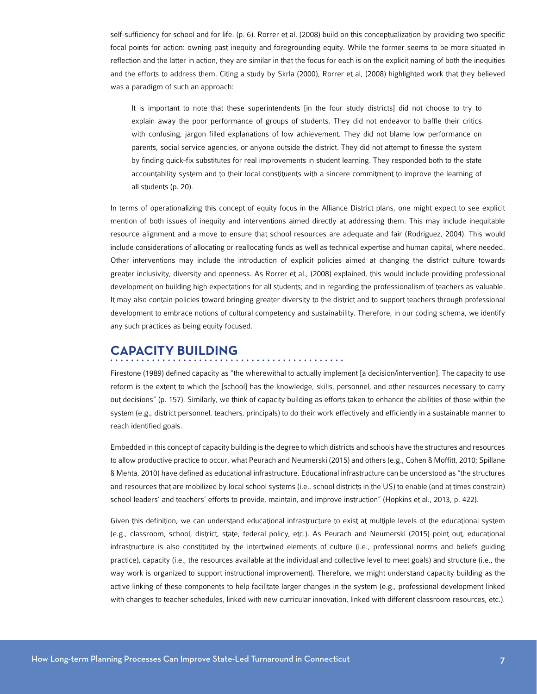self-sufficiency for school and for life. (p. 6). Rorrer et al. (2008) build on this conceptualization by providing two specific focal points for action: owning past inequity and foregrounding equity. While the former seems to be more situated in reflection and the latter in action, they are similar in that the focus for each is on the explicit naming of both the inequities and the efforts to address them. Citing a study by Skrla (2000), Rorrer et al, (2008) highlighted work that they believed was a paradigm of such an approach:

It is important to note that these superintendents [in the four study districts] did not choose to try to explain away the poor performance of groups of students. They did not endeavor to baffle their critics with confusing, jargon filled explanations of low achievement. They did not blame low performance on parents, social service agencies, or anyone outside the district. They did not attempt to finesse the system by finding quick-fix substitutes for real improvements in student learning. They responded both to the state accountability system and to their local constituents with a sincere commitment to improve the learning of all students (p. 20).

In terms of operationalizing this concept of equity focus in the Alliance District plans, one might expect to see explicit mention of both issues of inequity and interventions aimed directly at addressing them. This may include inequitable resource alignment and a move to ensure that school resources are adequate and fair (Rodriguez, 2004). This would include considerations of allocating or reallocating funds as well as technical expertise and human capital, where needed. Other interventions may include the introduction of explicit policies aimed at changing the district culture towards greater inclusivity, diversity and openness. As Rorrer et al., (2008) explained, this would include providing professional development on building high expectations for all students; and in regarding the professionalism of teachers as valuable. It may also contain policies toward bringing greater diversity to the district and to support teachers through professional development to embrace notions of cultural competency and sustainability. Therefore, in our coding schema, we identify any such practices as being equity focused.

### **CAPACITY BUILDING**

Firestone (1989) defined capacity as "the wherewithal to actually implement [a decision/intervention]. The capacity to use reform is the extent to which the [school] has the knowledge, skills, personnel, and other resources necessary to carry out decisions" (p. 157). Similarly, we think of capacity building as efforts taken to enhance the abilities of those within the system (e.g., district personnel, teachers, principals) to do their work effectively and efficiently in a sustainable manner to reach identified goals.

. . . . . . . . . . . . . .

Embedded in this concept of capacity building is the degree to which districts and schools have the structures and resources to allow productive practice to occur, what Peurach and Neumerski (2015) and others (e.g., Cohen & Moffitt, 2010; Spillane & Mehta, 2010) have defined as educational infrastructure. Educational infrastructure can be understood as "the structures and resources that are mobilized by local school systems (i.e., school districts in the US) to enable (and at times constrain) school leaders' and teachers' efforts to provide, maintain, and improve instruction" (Hopkins et al., 2013, p. 422).

Given this definition, we can understand educational infrastructure to exist at multiple levels of the educational system (e.g., classroom, school, district, state, federal policy, etc.). As Peurach and Neumerski (2015) point out, educational infrastructure is also constituted by the intertwined elements of culture (i.e., professional norms and beliefs guiding practice), capacity (i.e., the resources available at the individual and collective level to meet goals) and structure (i.e., the way work is organized to support instructional improvement). Therefore, we might understand capacity building as the active linking of these components to help facilitate larger changes in the system (e.g., professional development linked with changes to teacher schedules, linked with new curricular innovation, linked with different classroom resources, etc.).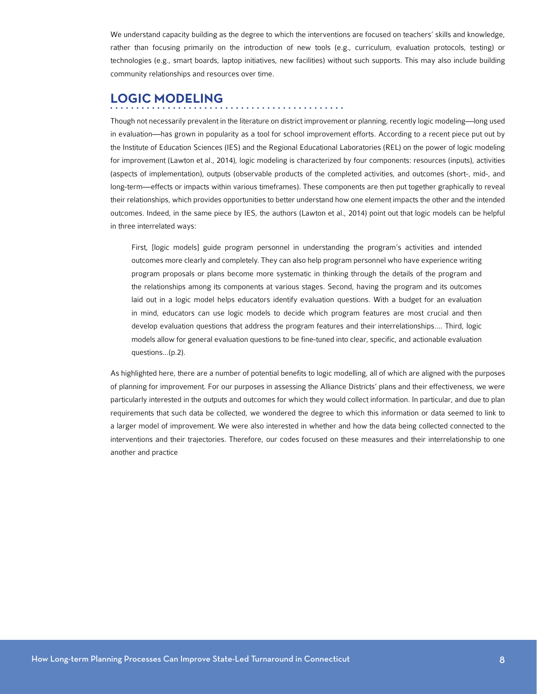We understand capacity building as the degree to which the interventions are focused on teachers' skills and knowledge, rather than focusing primarily on the introduction of new tools (e.g., curriculum, evaluation protocols, testing) or technologies (e.g., smart boards, laptop initiatives, new facilities) without such supports. This may also include building community relationships and resources over time.

### **LOGIC MODELING**

### . . . . . . . . . . . . . . **.**

Though not necessarily prevalent in the literature on district improvement or planning, recently logic modeling—long used in evaluation—has grown in popularity as a tool for school improvement efforts. According to a recent piece put out by the Institute of Education Sciences (IES) and the Regional Educational Laboratories (REL) on the power of logic modeling for improvement (Lawton et al., 2014), logic modeling is characterized by four components: resources (inputs), activities (aspects of implementation), outputs (observable products of the completed activities, and outcomes (short-, mid-, and long-term—effects or impacts within various timeframes). These components are then put together graphically to reveal their relationships, which provides opportunities to better understand how one element impacts the other and the intended outcomes. Indeed, in the same piece by IES, the authors (Lawton et al., 2014) point out that logic models can be helpful in three interrelated ways:

First, [logic models] guide program personnel in understanding the program's activities and intended outcomes more clearly and completely. They can also help program personnel who have experience writing program proposals or plans become more systematic in thinking through the details of the program and the relationships among its components at various stages. Second, having the program and its outcomes laid out in a logic model helps educators identify evaluation questions. With a budget for an evaluation in mind, educators can use logic models to decide which program features are most crucial and then develop evaluation questions that address the program features and their interrelationships.... Third, logic models allow for general evaluation questions to be fine-tuned into clear, specific, and actionable evaluation questions...(p.2).

As highlighted here, there are a number of potential benefits to logic modelling, all of which are aligned with the purposes of planning for improvement. For our purposes in assessing the Alliance Districts' plans and their effectiveness, we were particularly interested in the outputs and outcomes for which they would collect information. In particular, and due to plan requirements that such data be collected, we wondered the degree to which this information or data seemed to link to a larger model of improvement. We were also interested in whether and how the data being collected connected to the interventions and their trajectories. Therefore, our codes focused on these measures and their interrelationship to one another and practice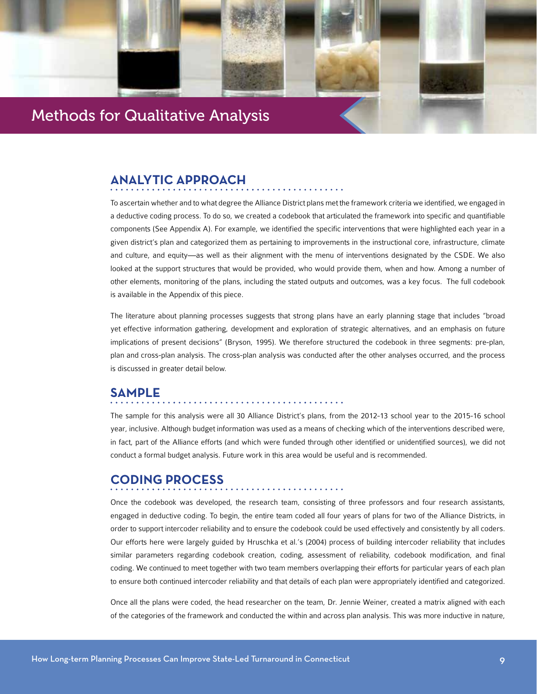# <span id="page-10-0"></span>Methods for Qualitative Analysis

### **ANALYTIC APPROACH**

To ascertain whether and to what degree the Alliance District plans met the framework criteria we identified, we engaged in a deductive coding process. To do so, we created a codebook that articulated the framework into specific and quantifiable components (See Appendix A). For example, we identified the specific interventions that were highlighted each year in a given district's plan and categorized them as pertaining to improvements in the instructional core, infrastructure, climate and culture, and equity—as well as their alignment with the menu of interventions designated by the CSDE. We also looked at the support structures that would be provided, who would provide them, when and how. Among a number of other elements, monitoring of the plans, including the stated outputs and outcomes, was a key focus. The full codebook is available in the Appendix of this piece.

The literature about planning processes suggests that strong plans have an early planning stage that includes "broad yet effective information gathering, development and exploration of strategic alternatives, and an emphasis on future implications of present decisions" (Bryson, 1995). We therefore structured the codebook in three segments: pre-plan, plan and cross-plan analysis. The cross-plan analysis was conducted after the other analyses occurred, and the process is discussed in greater detail below.

### **SAMPLE**

### 

The sample for this analysis were all 30 Alliance District's plans, from the 2012-13 school year to the 2015-16 school year, inclusive. Although budget information was used as a means of checking which of the interventions described were, in fact, part of the Alliance efforts (and which were funded through other identified or unidentified sources), we did not conduct a formal budget analysis. Future work in this area would be useful and is recommended.

. . . . . . . . . . . . . . . .

### **CODING PROCESS**

Once the codebook was developed, the research team, consisting of three professors and four research assistants, engaged in deductive coding. To begin, the entire team coded all four years of plans for two of the Alliance Districts, in order to support intercoder reliability and to ensure the codebook could be used effectively and consistently by all coders. Our efforts here were largely guided by Hruschka et al.'s (2004) process of building intercoder reliability that includes similar parameters regarding codebook creation, coding, assessment of reliability, codebook modification, and final coding. We continued to meet together with two team members overlapping their efforts for particular years of each plan to ensure both continued intercoder reliability and that details of each plan were appropriately identified and categorized.

Once all the plans were coded, the head researcher on the team, Dr. Jennie Weiner, created a matrix aligned with each of the categories of the framework and conducted the within and across plan analysis. This was more inductive in nature,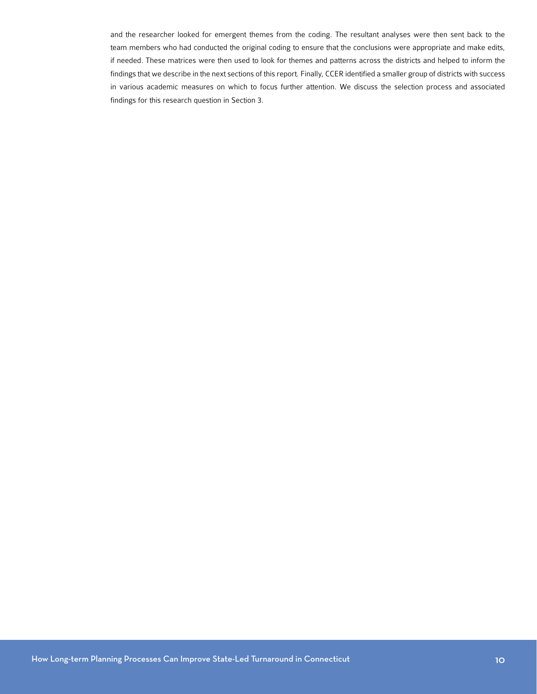and the researcher looked for emergent themes from the coding. The resultant analyses were then sent back to the team members who had conducted the original coding to ensure that the conclusions were appropriate and make edits, if needed. These matrices were then used to look for themes and patterns across the districts and helped to inform the findings that we describe in the next sections of this report. Finally, CCER identified a smaller group of districts with success in various academic measures on which to focus further attention. We discuss the selection process and associated findings for this research question in Section 3.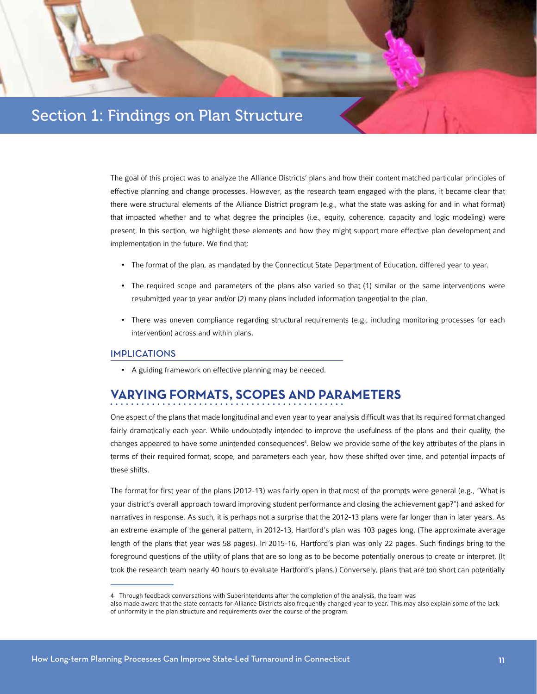# <span id="page-12-0"></span>Section 1: Findings on Plan Structure

The goal of this project was to analyze the Alliance Districts' plans and how their content matched particular principles of effective planning and change processes. However, as the research team engaged with the plans, it became clear that there were structural elements of the Alliance District program (e.g., what the state was asking for and in what format) that impacted whether and to what degree the principles (i.e., equity, coherence, capacity and logic modeling) were present. In this section, we highlight these elements and how they might support more effective plan development and implementation in the future. We find that:

- The format of the plan, as mandated by the Connecticut State Department of Education, differed year to year.
- The required scope and parameters of the plans also varied so that (1) similar or the same interventions were resubmitted year to year and/or (2) many plans included information tangential to the plan.
- There was uneven compliance regarding structural requirements (e.g., including monitoring processes for each intervention) across and within plans.

#### IMPLICATIONS

• A guiding framework on effective planning may be needed.

### **VARYING FORMATS, SCOPES AND PARAMETERS**

One aspect of the plans that made longitudinal and even year to year analysis difficult was that its required format changed fairly dramatically each year. While undoubtedly intended to improve the usefulness of the plans and their quality, the changes appeared to have some unintended consequences<sup>4</sup>. Below we provide some of the key attributes of the plans in terms of their required format, scope, and parameters each year, how these shifted over time, and potential impacts of these shifts.

The format for first year of the plans (2012-13) was fairly open in that most of the prompts were general (e.g., "What is your district's overall approach toward improving student performance and closing the achievement gap?") and asked for narratives in response. As such, it is perhaps not a surprise that the 2012-13 plans were far longer than in later years. As an extreme example of the general pattern, in 2012-13, Hartford's plan was 103 pages long. (The approximate average length of the plans that year was 58 pages). In 2015-16, Hartford's plan was only 22 pages. Such findings bring to the foreground questions of the utility of plans that are so long as to be become potentially onerous to create or interpret. (It took the research team nearly 40 hours to evaluate Hartford's plans.) Conversely, plans that are too short can potentially

<sup>4</sup> Through feedback conversations with Superintendents after the completion of the analysis, the team was

also made aware that the state contacts for Alliance Districts also frequently changed year to year. This may also explain some of the lack of uniformity in the plan structure and requirements over the course of the program.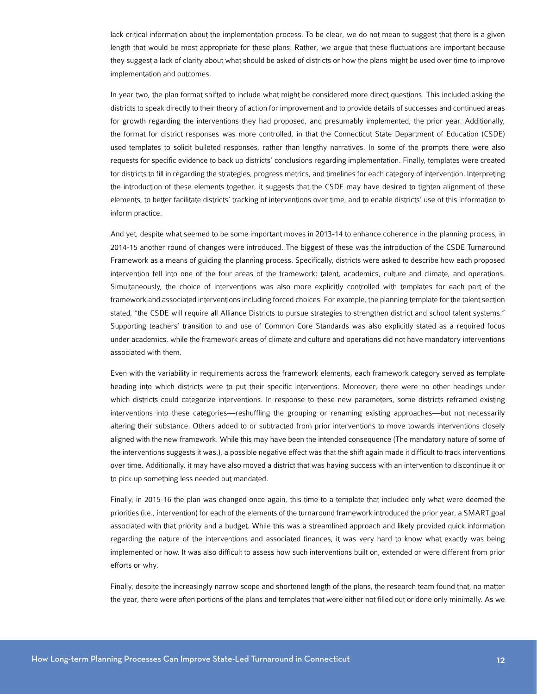lack critical information about the implementation process. To be clear, we do not mean to suggest that there is a given length that would be most appropriate for these plans. Rather, we argue that these fluctuations are important because they suggest a lack of clarity about what should be asked of districts or how the plans might be used over time to improve implementation and outcomes.

In year two, the plan format shifted to include what might be considered more direct questions. This included asking the districts to speak directly to their theory of action for improvement and to provide details of successes and continued areas for growth regarding the interventions they had proposed, and presumably implemented, the prior year. Additionally, the format for district responses was more controlled, in that the Connecticut State Department of Education (CSDE) used templates to solicit bulleted responses, rather than lengthy narratives. In some of the prompts there were also requests for specific evidence to back up districts' conclusions regarding implementation. Finally, templates were created for districts to fill in regarding the strategies, progress metrics, and timelines for each category of intervention. Interpreting the introduction of these elements together, it suggests that the CSDE may have desired to tighten alignment of these elements, to better facilitate districts' tracking of interventions over time, and to enable districts' use of this information to inform practice.

And yet, despite what seemed to be some important moves in 2013-14 to enhance coherence in the planning process, in 2014-15 another round of changes were introduced. The biggest of these was the introduction of the CSDE Turnaround Framework as a means of guiding the planning process. Specifically, districts were asked to describe how each proposed intervention fell into one of the four areas of the framework: talent, academics, culture and climate, and operations. Simultaneously, the choice of interventions was also more explicitly controlled with templates for each part of the framework and associated interventions including forced choices. For example, the planning template for the talent section stated, "the CSDE will require all Alliance Districts to pursue strategies to strengthen district and school talent systems." Supporting teachers' transition to and use of Common Core Standards was also explicitly stated as a required focus under academics, while the framework areas of climate and culture and operations did not have mandatory interventions associated with them.

Even with the variability in requirements across the framework elements, each framework category served as template heading into which districts were to put their specific interventions. Moreover, there were no other headings under which districts could categorize interventions. In response to these new parameters, some districts reframed existing interventions into these categories—reshuffling the grouping or renaming existing approaches—but not necessarily altering their substance. Others added to or subtracted from prior interventions to move towards interventions closely aligned with the new framework. While this may have been the intended consequence (The mandatory nature of some of the interventions suggests it was.), a possible negative effect was that the shift again made it difficult to track interventions over time. Additionally, it may have also moved a district that was having success with an intervention to discontinue it or to pick up something less needed but mandated.

Finally, in 2015-16 the plan was changed once again, this time to a template that included only what were deemed the priorities (i.e., intervention) for each of the elements of the turnaround framework introduced the prior year, a SMART goal associated with that priority and a budget. While this was a streamlined approach and likely provided quick information regarding the nature of the interventions and associated finances, it was very hard to know what exactly was being implemented or how. It was also difficult to assess how such interventions built on, extended or were different from prior efforts or why.

Finally, despite the increasingly narrow scope and shortened length of the plans, the research team found that, no matter the year, there were often portions of the plans and templates that were either not filled out or done only minimally. As we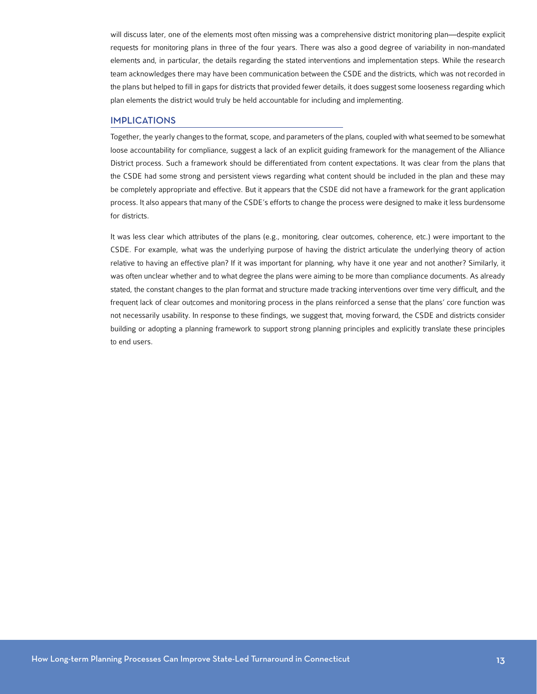will discuss later, one of the elements most often missing was a comprehensive district monitoring plan—despite explicit requests for monitoring plans in three of the four years. There was also a good degree of variability in non-mandated elements and, in particular, the details regarding the stated interventions and implementation steps. While the research team acknowledges there may have been communication between the CSDE and the districts, which was not recorded in the plans but helped to fill in gaps for districts that provided fewer details, it does suggest some looseness regarding which plan elements the district would truly be held accountable for including and implementing.

#### IMPLICATIONS

Together, the yearly changes to the format, scope, and parameters of the plans, coupled with what seemed to be somewhat loose accountability for compliance, suggest a lack of an explicit guiding framework for the management of the Alliance District process. Such a framework should be differentiated from content expectations. It was clear from the plans that the CSDE had some strong and persistent views regarding what content should be included in the plan and these may be completely appropriate and effective. But it appears that the CSDE did not have a framework for the grant application process. It also appears that many of the CSDE's efforts to change the process were designed to make it less burdensome for districts.

It was less clear which attributes of the plans (e.g., monitoring, clear outcomes, coherence, etc.) were important to the CSDE. For example, what was the underlying purpose of having the district articulate the underlying theory of action relative to having an effective plan? If it was important for planning, why have it one year and not another? Similarly, it was often unclear whether and to what degree the plans were aiming to be more than compliance documents. As already stated, the constant changes to the plan format and structure made tracking interventions over time very difficult, and the frequent lack of clear outcomes and monitoring process in the plans reinforced a sense that the plans' core function was not necessarily usability. In response to these findings, we suggest that, moving forward, the CSDE and districts consider building or adopting a planning framework to support strong planning principles and explicitly translate these principles to end users.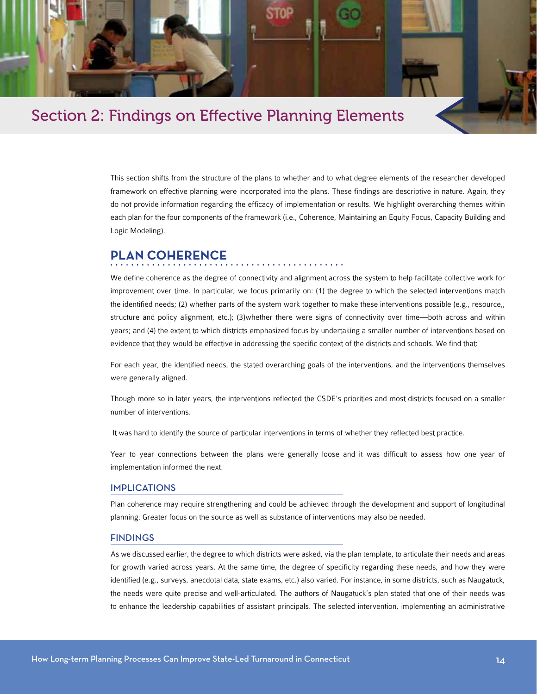<span id="page-15-0"></span>

This section shifts from the structure of the plans to whether and to what degree elements of the researcher developed framework on effective planning were incorporated into the plans. These findings are descriptive in nature. Again, they do not provide information regarding the efficacy of implementation or results. We highlight overarching themes within each plan for the four components of the framework (i.e., Coherence, Maintaining an Equity Focus, Capacity Building and Logic Modeling).

### **PLAN COHERENCE**

We define coherence as the degree of connectivity and alignment across the system to help facilitate collective work for improvement over time. In particular, we focus primarily on: (1) the degree to which the selected interventions match the identified needs; (2) whether parts of the system work together to make these interventions possible (e.g., resource,, structure and policy alignment, etc.); (3)whether there were signs of connectivity over time—both across and within years; and (4) the extent to which districts emphasized focus by undertaking a smaller number of interventions based on evidence that they would be effective in addressing the specific context of the districts and schools. We find that:

For each year, the identified needs, the stated overarching goals of the interventions, and the interventions themselves were generally aligned.

Though more so in later years, the interventions reflected the CSDE's priorities and most districts focused on a smaller number of interventions.

It was hard to identify the source of particular interventions in terms of whether they reflected best practice.

Year to year connections between the plans were generally loose and it was difficult to assess how one year of implementation informed the next.

#### IMPLICATIONS

Plan coherence may require strengthening and could be achieved through the development and support of longitudinal planning. Greater focus on the source as well as substance of interventions may also be needed.

#### FINDINGS

As we discussed earlier, the degree to which districts were asked, via the plan template, to articulate their needs and areas for growth varied across years. At the same time, the degree of specificity regarding these needs, and how they were identified (e.g., surveys, anecdotal data, state exams, etc.) also varied. For instance, in some districts, such as Naugatuck, the needs were quite precise and well-articulated. The authors of Naugatuck's plan stated that one of their needs was to enhance the leadership capabilities of assistant principals. The selected intervention, implementing an administrative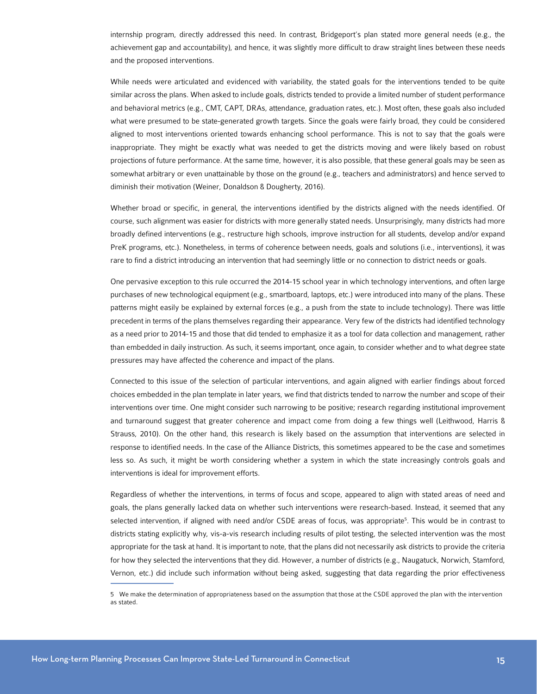internship program, directly addressed this need. In contrast, Bridgeport's plan stated more general needs (e.g., the achievement gap and accountability), and hence, it was slightly more difficult to draw straight lines between these needs and the proposed interventions.

While needs were articulated and evidenced with variability, the stated goals for the interventions tended to be quite similar across the plans. When asked to include goals, districts tended to provide a limited number of student performance and behavioral metrics (e.g., CMT, CAPT, DRAs, attendance, graduation rates, etc.). Most often, these goals also included what were presumed to be state-generated growth targets. Since the goals were fairly broad, they could be considered aligned to most interventions oriented towards enhancing school performance. This is not to say that the goals were inappropriate. They might be exactly what was needed to get the districts moving and were likely based on robust projections of future performance. At the same time, however, it is also possible, that these general goals may be seen as somewhat arbitrary or even unattainable by those on the ground (e.g., teachers and administrators) and hence served to diminish their motivation (Weiner, Donaldson & Dougherty, 2016).

Whether broad or specific, in general, the interventions identified by the districts aligned with the needs identified. Of course, such alignment was easier for districts with more generally stated needs. Unsurprisingly, many districts had more broadly defined interventions (e.g., restructure high schools, improve instruction for all students, develop and/or expand PreK programs, etc.). Nonetheless, in terms of coherence between needs, goals and solutions (i.e., interventions), it was rare to find a district introducing an intervention that had seemingly little or no connection to district needs or goals.

One pervasive exception to this rule occurred the 2014-15 school year in which technology interventions, and often large purchases of new technological equipment (e.g., smartboard, laptops, etc.) were introduced into many of the plans. These patterns might easily be explained by external forces (e.g., a push from the state to include technology). There was little precedent in terms of the plans themselves regarding their appearance. Very few of the districts had identified technology as a need prior to 2014-15 and those that did tended to emphasize it as a tool for data collection and management, rather than embedded in daily instruction. As such, it seems important, once again, to consider whether and to what degree state pressures may have affected the coherence and impact of the plans.

Connected to this issue of the selection of particular interventions, and again aligned with earlier findings about forced choices embedded in the plan template in later years, we find that districts tended to narrow the number and scope of their interventions over time. One might consider such narrowing to be positive; research regarding institutional improvement and turnaround suggest that greater coherence and impact come from doing a few things well (Leithwood, Harris & Strauss, 2010). On the other hand, this research is likely based on the assumption that interventions are selected in response to identified needs. In the case of the Alliance Districts, this sometimes appeared to be the case and sometimes less so. As such, it might be worth considering whether a system in which the state increasingly controls goals and interventions is ideal for improvement efforts.

Regardless of whether the interventions, in terms of focus and scope, appeared to align with stated areas of need and goals, the plans generally lacked data on whether such interventions were research-based. Instead, it seemed that any selected intervention, if aligned with need and/or CSDE areas of focus, was appropriate<sup>5</sup>. This would be in contrast to districts stating explicitly why, vis-a-vis research including results of pilot testing, the selected intervention was the most appropriate for the task at hand. It is important to note, that the plans did not necessarily ask districts to provide the criteria for how they selected the interventions that they did. However, a number of districts (e.g., Naugatuck, Norwich, Stamford, Vernon, etc.) did include such information without being asked, suggesting that data regarding the prior effectiveness

<sup>5</sup> We make the determination of appropriateness based on the assumption that those at the CSDE approved the plan with the intervention as stated.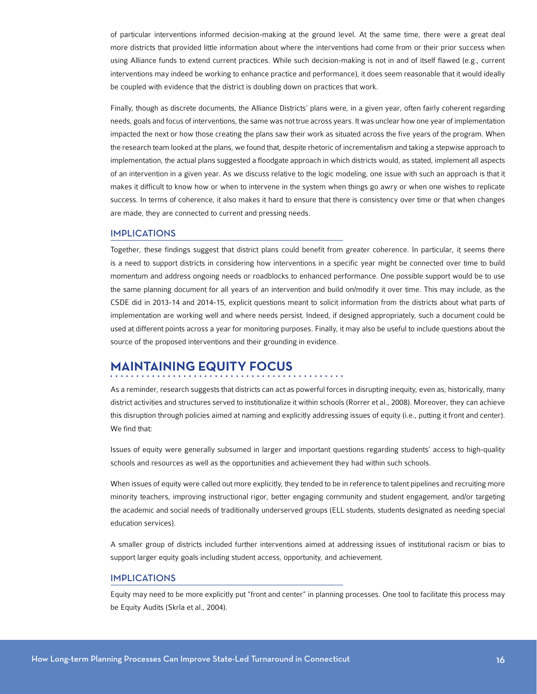of particular interventions informed decision-making at the ground level. At the same time, there were a great deal more districts that provided little information about where the interventions had come from or their prior success when using Alliance funds to extend current practices. While such decision-making is not in and of itself flawed (e.g., current interventions may indeed be working to enhance practice and performance), it does seem reasonable that it would ideally be coupled with evidence that the district is doubling down on practices that work.

Finally, though as discrete documents, the Alliance Districts' plans were, in a given year, often fairly coherent regarding needs, goals and focus of interventions, the same was not true across years. It was unclear how one year of implementation impacted the next or how those creating the plans saw their work as situated across the five years of the program. When the research team looked at the plans, we found that, despite rhetoric of incrementalism and taking a stepwise approach to implementation, the actual plans suggested a floodgate approach in which districts would, as stated, implement all aspects of an intervention in a given year. As we discuss relative to the logic modeling, one issue with such an approach is that it makes it difficult to know how or when to intervene in the system when things go awry or when one wishes to replicate success. In terms of coherence, it also makes it hard to ensure that there is consistency over time or that when changes are made, they are connected to current and pressing needs.

#### IMPLICATIONS

Together, these findings suggest that district plans could benefit from greater coherence. In particular, it seems there is a need to support districts in considering how interventions in a specific year might be connected over time to build momentum and address ongoing needs or roadblocks to enhanced performance. One possible support would be to use the same planning document for all years of an intervention and build on/modify it over time. This may include, as the CSDE did in 2013-14 and 2014-15, explicit questions meant to solicit information from the districts about what parts of implementation are working well and where needs persist. Indeed, if designed appropriately, such a document could be used at different points across a year for monitoring purposes. Finally, it may also be useful to include questions about the source of the proposed interventions and their grounding in evidence.

### **MAINTAINING EQUITY FOCUS**

As a reminder, research suggests that districts can act as powerful forces in disrupting inequity, even as, historically, many district activities and structures served to institutionalize it within schools (Rorrer et al., 2008). Moreover, they can achieve this disruption through policies aimed at naming and explicitly addressing issues of equity (i.e., putting it front and center). We find that:

Issues of equity were generally subsumed in larger and important questions regarding students' access to high-quality schools and resources as well as the opportunities and achievement they had within such schools.

When issues of equity were called out more explicitly, they tended to be in reference to talent pipelines and recruiting more minority teachers, improving instructional rigor, better engaging community and student engagement, and/or targeting the academic and social needs of traditionally underserved groups (ELL students, students designated as needing special education services).

A smaller group of districts included further interventions aimed at addressing issues of institutional racism or bias to support larger equity goals including student access, opportunity, and achievement.

#### IMPLICATIONS

Equity may need to be more explicitly put "front and center" in planning processes. One tool to facilitate this process may be Equity Audits (Skrla et al., 2004).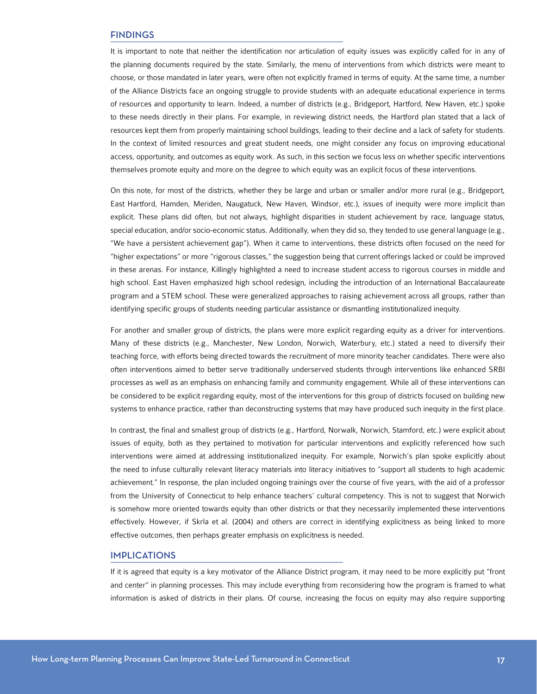#### FINDINGS

It is important to note that neither the identification nor articulation of equity issues was explicitly called for in any of the planning documents required by the state. Similarly, the menu of interventions from which districts were meant to choose, or those mandated in later years, were often not explicitly framed in terms of equity. At the same time, a number of the Alliance Districts face an ongoing struggle to provide students with an adequate educational experience in terms of resources and opportunity to learn. Indeed, a number of districts (e.g., Bridgeport, Hartford, New Haven, etc.) spoke to these needs directly in their plans. For example, in reviewing district needs, the Hartford plan stated that a lack of resources kept them from properly maintaining school buildings, leading to their decline and a lack of safety for students. In the context of limited resources and great student needs, one might consider any focus on improving educational access, opportunity, and outcomes as equity work. As such, in this section we focus less on whether specific interventions themselves promote equity and more on the degree to which equity was an explicit focus of these interventions.

On this note, for most of the districts, whether they be large and urban or smaller and/or more rural (e.g., Bridgeport, East Hartford, Hamden, Meriden, Naugatuck, New Haven, Windsor, etc.), issues of inequity were more implicit than explicit. These plans did often, but not always, highlight disparities in student achievement by race, language status, special education, and/or socio-economic status. Additionally, when they did so, they tended to use general language (e.g., "We have a persistent achievement gap"). When it came to interventions, these districts often focused on the need for "higher expectations" or more "rigorous classes," the suggestion being that current offerings lacked or could be improved in these arenas. For instance, Killingly highlighted a need to increase student access to rigorous courses in middle and high school. East Haven emphasized high school redesign, including the introduction of an International Baccalaureate program and a STEM school. These were generalized approaches to raising achievement across all groups, rather than identifying specific groups of students needing particular assistance or dismantling institutionalized inequity.

For another and smaller group of districts, the plans were more explicit regarding equity as a driver for interventions. Many of these districts (e.g., Manchester, New London, Norwich, Waterbury, etc.) stated a need to diversify their teaching force, with efforts being directed towards the recruitment of more minority teacher candidates. There were also often interventions aimed to better serve traditionally underserved students through interventions like enhanced SRBI processes as well as an emphasis on enhancing family and community engagement. While all of these interventions can be considered to be explicit regarding equity, most of the interventions for this group of districts focused on building new systems to enhance practice, rather than deconstructing systems that may have produced such inequity in the first place.

In contrast, the final and smallest group of districts (e.g., Hartford, Norwalk, Norwich, Stamford, etc.) were explicit about issues of equity, both as they pertained to motivation for particular interventions and explicitly referenced how such interventions were aimed at addressing institutionalized inequity. For example, Norwich's plan spoke explicitly about the need to infuse culturally relevant literacy materials into literacy initiatives to "support all students to high academic achievement." In response, the plan included ongoing trainings over the course of five years, with the aid of a professor from the University of Connecticut to help enhance teachers' cultural competency. This is not to suggest that Norwich is somehow more oriented towards equity than other districts or that they necessarily implemented these interventions effectively. However, if Skrla et al. (2004) and others are correct in identifying explicitness as being linked to more effective outcomes, then perhaps greater emphasis on explicitness is needed.

#### IMPLICATIONS

If it is agreed that equity is a key motivator of the Alliance District program, it may need to be more explicitly put "front and center" in planning processes. This may include everything from reconsidering how the program is framed to what information is asked of districts in their plans. Of course, increasing the focus on equity may also require supporting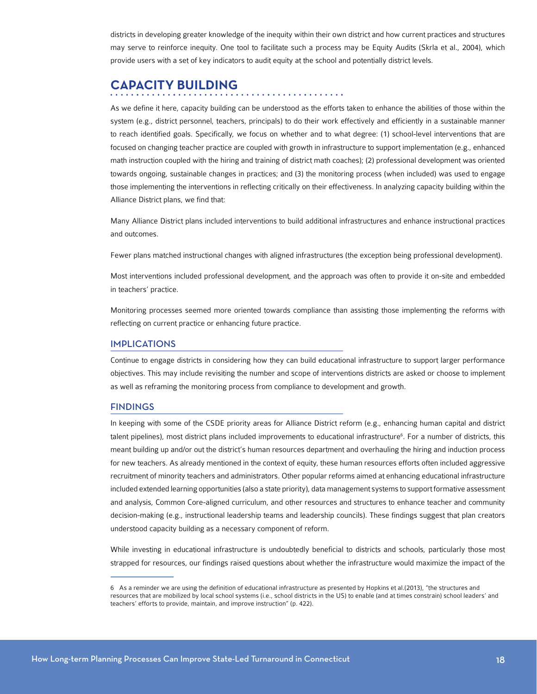districts in developing greater knowledge of the inequity within their own district and how current practices and structures may serve to reinforce inequity. One tool to facilitate such a process may be Equity Audits (Skrla et al., 2004), which provide users with a set of key indicators to audit equity at the school and potentially district levels.

. . . . . . . . . . **.** 

### **CAPACITY BUILDING**

Alliance District plans, we find that:

As we define it here, capacity building can be understood as the efforts taken to enhance the abilities of those within the system (e.g., district personnel, teachers, principals) to do their work effectively and efficiently in a sustainable manner to reach identified goals. Specifically, we focus on whether and to what degree: (1) school-level interventions that are focused on changing teacher practice are coupled with growth in infrastructure to support implementation (e.g., enhanced math instruction coupled with the hiring and training of district math coaches); (2) professional development was oriented towards ongoing, sustainable changes in practices; and (3) the monitoring process (when included) was used to engage those implementing the interventions in reflecting critically on their effectiveness. In analyzing capacity building within the

Many Alliance District plans included interventions to build additional infrastructures and enhance instructional practices and outcomes.

Fewer plans matched instructional changes with aligned infrastructures (the exception being professional development).

Most interventions included professional development, and the approach was often to provide it on-site and embedded in teachers' practice.

Monitoring processes seemed more oriented towards compliance than assisting those implementing the reforms with reflecting on current practice or enhancing future practice.

#### IMPLICATIONS

Continue to engage districts in considering how they can build educational infrastructure to support larger performance objectives. This may include revisiting the number and scope of interventions districts are asked or choose to implement as well as reframing the monitoring process from compliance to development and growth.

#### FINDINGS

In keeping with some of the CSDE priority areas for Alliance District reform (e.g., enhancing human capital and district talent pipelines), most district plans included improvements to educational infrastructure<sup>6</sup>. For a number of districts, this meant building up and/or out the district's human resources department and overhauling the hiring and induction process for new teachers. As already mentioned in the context of equity, these human resources efforts often included aggressive recruitment of minority teachers and administrators. Other popular reforms aimed at enhancing educational infrastructure included extended learning opportunities (also a state priority), data management systems to support formative assessment and analysis, Common Core-aligned curriculum, and other resources and structures to enhance teacher and community decision-making (e.g., instructional leadership teams and leadership councils). These findings suggest that plan creators understood capacity building as a necessary component of reform.

While investing in educational infrastructure is undoubtedly beneficial to districts and schools, particularly those most strapped for resources, our findings raised questions about whether the infrastructure would maximize the impact of the

<sup>6</sup> As a reminder we are using the definition of educational infrastructure as presented by Hopkins et al.(2013), "the structures and resources that are mobilized by local school systems (i.e., school districts in the US) to enable (and at times constrain) school leaders' and teachers' efforts to provide, maintain, and improve instruction" (p. 422).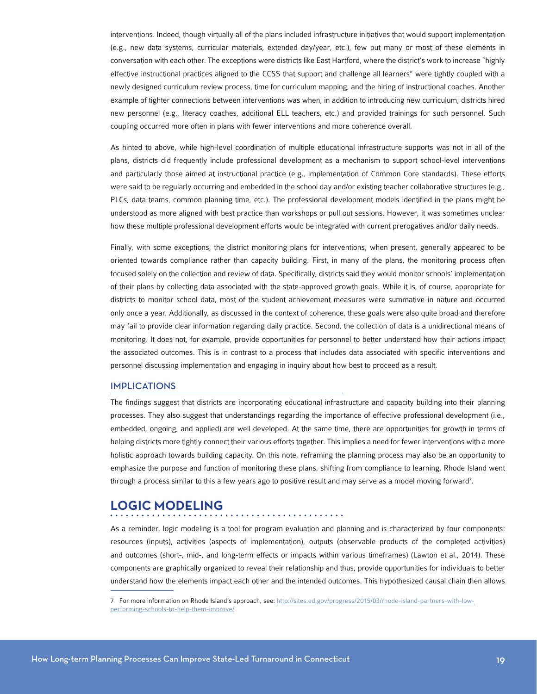interventions. Indeed, though virtually all of the plans included infrastructure initiatives that would support implementation (e.g., new data systems, curricular materials, extended day/year, etc.), few put many or most of these elements in conversation with each other. The exceptions were districts like East Hartford, where the district's work to increase "highly effective instructional practices aligned to the CCSS that support and challenge all learners" were tightly coupled with a newly designed curriculum review process, time for curriculum mapping, and the hiring of instructional coaches. Another example of tighter connections between interventions was when, in addition to introducing new curriculum, districts hired new personnel (e.g., literacy coaches, additional ELL teachers, etc.) and provided trainings for such personnel. Such coupling occurred more often in plans with fewer interventions and more coherence overall.

As hinted to above, while high-level coordination of multiple educational infrastructure supports was not in all of the plans, districts did frequently include professional development as a mechanism to support school-level interventions and particularly those aimed at instructional practice (e.g., implementation of Common Core standards). These efforts were said to be regularly occurring and embedded in the school day and/or existing teacher collaborative structures (e.g., PLCs, data teams, common planning time, etc.). The professional development models identified in the plans might be understood as more aligned with best practice than workshops or pull out sessions. However, it was sometimes unclear how these multiple professional development efforts would be integrated with current prerogatives and/or daily needs.

Finally, with some exceptions, the district monitoring plans for interventions, when present, generally appeared to be oriented towards compliance rather than capacity building. First, in many of the plans, the monitoring process often focused solely on the collection and review of data. Specifically, districts said they would monitor schools' implementation of their plans by collecting data associated with the state-approved growth goals. While it is, of course, appropriate for districts to monitor school data, most of the student achievement measures were summative in nature and occurred only once a year. Additionally, as discussed in the context of coherence, these goals were also quite broad and therefore may fail to provide clear information regarding daily practice. Second, the collection of data is a unidirectional means of monitoring. It does not, for example, provide opportunities for personnel to better understand how their actions impact the associated outcomes. This is in contrast to a process that includes data associated with specific interventions and personnel discussing implementation and engaging in inquiry about how best to proceed as a result.

#### IMPLICATIONS

The findings suggest that districts are incorporating educational infrastructure and capacity building into their planning processes. They also suggest that understandings regarding the importance of effective professional development (i.e., embedded, ongoing, and applied) are well developed. At the same time, there are opportunities for growth in terms of helping districts more tightly connect their various efforts together. This implies a need for fewer interventions with a more holistic approach towards building capacity. On this note, reframing the planning process may also be an opportunity to emphasize the purpose and function of monitoring these plans, shifting from compliance to learning. Rhode Island went through a process similar to this a few years ago to positive result and may serve as a model moving forward<sup>7</sup>.

### **LOGIC MODELING**

#### . . . . . . . . . . . . . . . .

As a reminder, logic modeling is a tool for program evaluation and planning and is characterized by four components: resources (inputs), activities (aspects of implementation), outputs (observable products of the completed activities) and outcomes (short-, mid-, and long-term effects or impacts within various timeframes) (Lawton et al., 2014). These components are graphically organized to reveal their relationship and thus, provide opportunities for individuals to better understand how the elements impact each other and the intended outcomes. This hypothesized causal chain then allows

<sup>7</sup> For more information on Rhode Island's approach, see: [http://sites.ed.gov/progress/2015/03/rhode-island-partners-with-low](http://sites.ed.gov/progress/2015/03/rhode-island-partners-with-low-performing-schools-to-help-them-improve/)[performing-schools-to-help-them-improve/](http://sites.ed.gov/progress/2015/03/rhode-island-partners-with-low-performing-schools-to-help-them-improve/)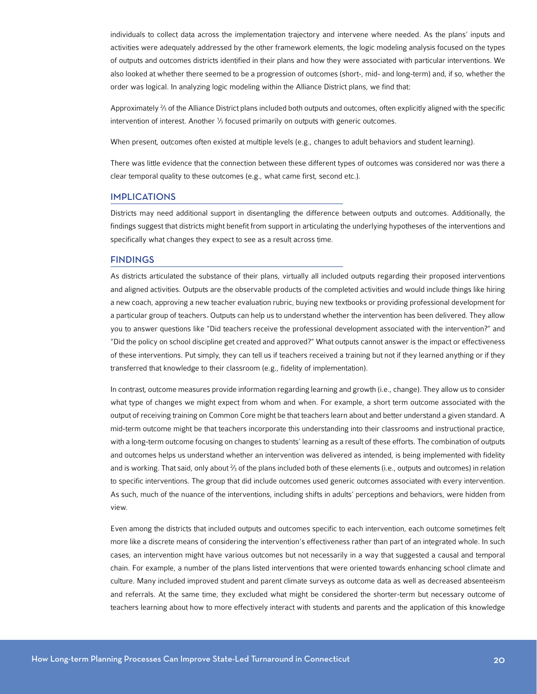individuals to collect data across the implementation trajectory and intervene where needed. As the plans' inputs and activities were adequately addressed by the other framework elements, the logic modeling analysis focused on the types of outputs and outcomes districts identified in their plans and how they were associated with particular interventions. We also looked at whether there seemed to be a progression of outcomes (short-, mid- and long-term) and, if so, whether the order was logical. In analyzing logic modeling within the Alliance District plans, we find that:

Approximately  $\frac{2}{3}$  of the Alliance District plans included both outputs and outcomes, often explicitly aligned with the specific intervention of interest. Another 1/3 focused primarily on outputs with generic outcomes.

When present, outcomes often existed at multiple levels (e.g., changes to adult behaviors and student learning).

There was little evidence that the connection between these different types of outcomes was considered nor was there a clear temporal quality to these outcomes (e.g., what came first, second etc.).

#### IMPLICATIONS

Districts may need additional support in disentangling the difference between outputs and outcomes. Additionally, the findings suggest that districts might benefit from support in articulating the underlying hypotheses of the interventions and specifically what changes they expect to see as a result across time.

#### FINDINGS

As districts articulated the substance of their plans, virtually all included outputs regarding their proposed interventions and aligned activities. Outputs are the observable products of the completed activities and would include things like hiring a new coach, approving a new teacher evaluation rubric, buying new textbooks or providing professional development for a particular group of teachers. Outputs can help us to understand whether the intervention has been delivered. They allow you to answer questions like "Did teachers receive the professional development associated with the intervention?" and "Did the policy on school discipline get created and approved?" What outputs cannot answer is the impact or effectiveness of these interventions. Put simply, they can tell us if teachers received a training but not if they learned anything or if they transferred that knowledge to their classroom (e.g., fidelity of implementation).

In contrast, outcome measures provide information regarding learning and growth (i.e., change). They allow us to consider what type of changes we might expect from whom and when. For example, a short term outcome associated with the output of receiving training on Common Core might be that teachers learn about and better understand a given standard. A mid-term outcome might be that teachers incorporate this understanding into their classrooms and instructional practice, with a long-term outcome focusing on changes to students' learning as a result of these efforts. The combination of outputs and outcomes helps us understand whether an intervention was delivered as intended, is being implemented with fidelity and is working. That said, only about  $\frac{2}{3}$  of the plans included both of these elements (i.e., outputs and outcomes) in relation to specific interventions. The group that did include outcomes used generic outcomes associated with every intervention. As such, much of the nuance of the interventions, including shifts in adults' perceptions and behaviors, were hidden from view.

Even among the districts that included outputs and outcomes specific to each intervention, each outcome sometimes felt more like a discrete means of considering the intervention's effectiveness rather than part of an integrated whole. In such cases, an intervention might have various outcomes but not necessarily in a way that suggested a causal and temporal chain. For example, a number of the plans listed interventions that were oriented towards enhancing school climate and culture. Many included improved student and parent climate surveys as outcome data as well as decreased absenteeism and referrals. At the same time, they excluded what might be considered the shorter-term but necessary outcome of teachers learning about how to more effectively interact with students and parents and the application of this knowledge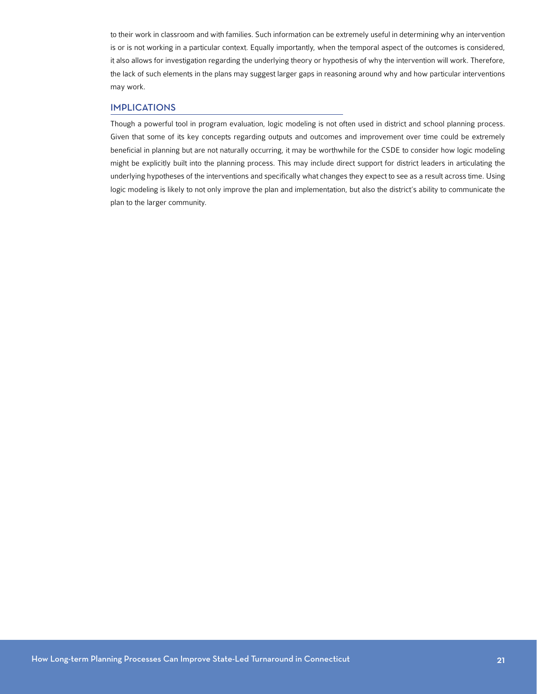to their work in classroom and with families. Such information can be extremely useful in determining why an intervention is or is not working in a particular context. Equally importantly, when the temporal aspect of the outcomes is considered, it also allows for investigation regarding the underlying theory or hypothesis of why the intervention will work. Therefore, the lack of such elements in the plans may suggest larger gaps in reasoning around why and how particular interventions may work.

### IMPLICATIONS

Though a powerful tool in program evaluation, logic modeling is not often used in district and school planning process. Given that some of its key concepts regarding outputs and outcomes and improvement over time could be extremely beneficial in planning but are not naturally occurring, it may be worthwhile for the CSDE to consider how logic modeling might be explicitly built into the planning process. This may include direct support for district leaders in articulating the underlying hypotheses of the interventions and specifically what changes they expect to see as a result across time. Using logic modeling is likely to not only improve the plan and implementation, but also the district's ability to communicate the plan to the larger community.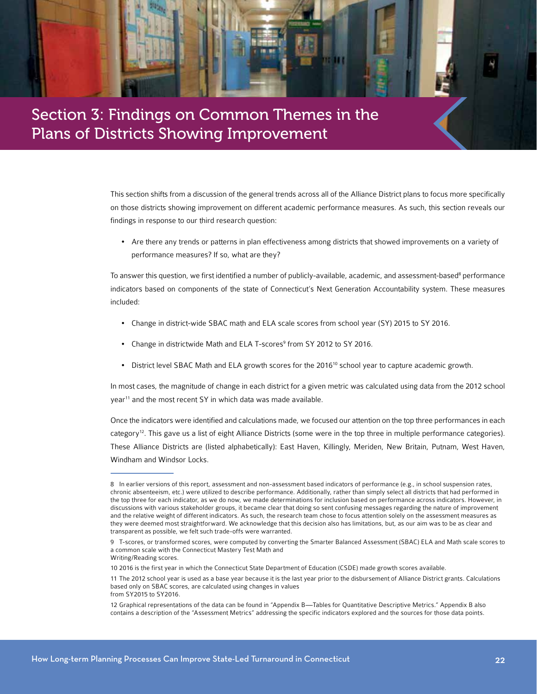<span id="page-23-0"></span>

# Section 3: Findings on Common Themes in the Plans of Districts Showing Improvement

This section shifts from a discussion of the general trends across all of the Alliance District plans to focus more specifically on those districts showing improvement on different academic performance measures. As such, this section reveals our findings in response to our third research question:

• Are there any trends or patterns in plan effectiveness among districts that showed improvements on a variety of performance measures? If so, what are they?

To answer this question, we first identified a number of publicly-available, academic, and assessment-based<sup>8</sup> performance indicators based on components of the state of Connecticut's Next Generation Accountability system. These measures included:

- Change in district-wide SBAC math and ELA scale scores from school year (SY) 2015 to SY 2016.
- Change in districtwide Math and ELA T-scores<sup>9</sup> from SY 2012 to SY 2016.
- District level SBAC Math and ELA growth scores for the 2016<sup>10</sup> school year to capture academic growth.

In most cases, the magnitude of change in each district for a given metric was calculated using data from the 2012 school year<sup>11</sup> and the most recent SY in which data was made available.

Once the indicators were identified and calculations made, we focused our attention on the top three performances in each category<sup>12</sup>. This gave us a list of eight Alliance Districts (some were in the top three in multiple performance categories). These Alliance Districts are (listed alphabetically): East Haven, Killingly, Meriden, New Britain, Putnam, West Haven, Windham and Windsor Locks.

<sup>8</sup> In earlier versions of this report, assessment and non-assessment based indicators of performance (e.g., in school suspension rates, chronic absenteeism, etc.) were utilized to describe performance. Additionally, rather than simply select all districts that had performed in the top three for each indicator, as we do now, we made determinations for inclusion based on performance across indicators. However, in discussions with various stakeholder groups, it became clear that doing so sent confusing messages regarding the nature of improvement and the relative weight of different indicators. As such, the research team chose to focus attention solely on the assessment measures as they were deemed most straightforward. We acknowledge that this decision also has limitations, but, as our aim was to be as clear and transparent as possible, we felt such trade-offs were warranted.

<sup>9</sup> T-scores, or transformed scores, were computed by converting the Smarter Balanced Assessment (SBAC) ELA and Math scale scores to a common scale with the Connecticut Mastery Test Math and Writing/Reading scores.

<sup>10</sup> 2016 is the first year in which the Connecticut State Department of Education (CSDE) made growth scores available.

<sup>11</sup> The 2012 school year is used as a base year because it is the last year prior to the disbursement of Alliance District grants. Calculations based only on SBAC scores, are calculated using changes in values from SY2015 to SY2016.

<sup>12</sup> Graphical representations of the data can be found in "Appendix B—Tables for Quantitative Descriptive Metrics." Appendix B also contains a description of the "Assessment Metrics" addressing the specific indicators explored and the sources for those data points.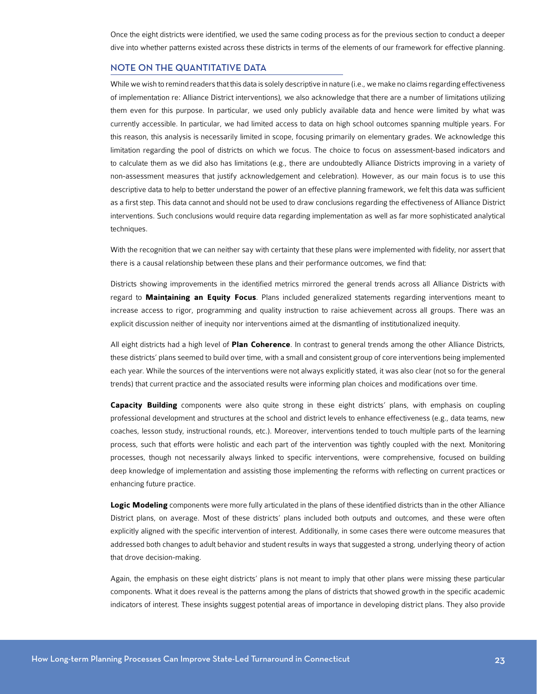Once the eight districts were identified, we used the same coding process as for the previous section to conduct a deeper dive into whether patterns existed across these districts in terms of the elements of our framework for effective planning.

### NOTE ON THE QUANTITATIVE DATA

While we wish to remind readers that this data is solely descriptive in nature (i.e., we make no claims regarding effectiveness of implementation re: Alliance District interventions), we also acknowledge that there are a number of limitations utilizing them even for this purpose. In particular, we used only publicly available data and hence were limited by what was currently accessible. In particular, we had limited access to data on high school outcomes spanning multiple years. For this reason, this analysis is necessarily limited in scope, focusing primarily on elementary grades. We acknowledge this limitation regarding the pool of districts on which we focus. The choice to focus on assessment-based indicators and to calculate them as we did also has limitations (e.g., there are undoubtedly Alliance Districts improving in a variety of non-assessment measures that justify acknowledgement and celebration). However, as our main focus is to use this descriptive data to help to better understand the power of an effective planning framework, we felt this data was sufficient as a first step. This data cannot and should not be used to draw conclusions regarding the effectiveness of Alliance District interventions. Such conclusions would require data regarding implementation as well as far more sophisticated analytical techniques.

With the recognition that we can neither say with certainty that these plans were implemented with fidelity, nor assert that there is a causal relationship between these plans and their performance outcomes, we find that:

Districts showing improvements in the identified metrics mirrored the general trends across all Alliance Districts with regard to **Maintaining an Equity Focus**. Plans included generalized statements regarding interventions meant to increase access to rigor, programming and quality instruction to raise achievement across all groups. There was an explicit discussion neither of inequity nor interventions aimed at the dismantling of institutionalized inequity.

All eight districts had a high level of **Plan Coherence**. In contrast to general trends among the other Alliance Districts, these districts' plans seemed to build over time, with a small and consistent group of core interventions being implemented each year. While the sources of the interventions were not always explicitly stated, it was also clear (not so for the general trends) that current practice and the associated results were informing plan choices and modifications over time.

**Capacity Building** components were also quite strong in these eight districts' plans, with emphasis on coupling professional development and structures at the school and district levels to enhance effectiveness (e.g., data teams, new coaches, lesson study, instructional rounds, etc.). Moreover, interventions tended to touch multiple parts of the learning process, such that efforts were holistic and each part of the intervention was tightly coupled with the next. Monitoring processes, though not necessarily always linked to specific interventions, were comprehensive, focused on building deep knowledge of implementation and assisting those implementing the reforms with reflecting on current practices or enhancing future practice.

**Logic Modeling** components were more fully articulated in the plans of these identified districts than in the other Alliance District plans, on average. Most of these districts' plans included both outputs and outcomes, and these were often explicitly aligned with the specific intervention of interest. Additionally, in some cases there were outcome measures that addressed both changes to adult behavior and student results in ways that suggested a strong, underlying theory of action that drove decision-making.

Again, the emphasis on these eight districts' plans is not meant to imply that other plans were missing these particular components. What it does reveal is the patterns among the plans of districts that showed growth in the specific academic indicators of interest. These insights suggest potential areas of importance in developing district plans. They also provide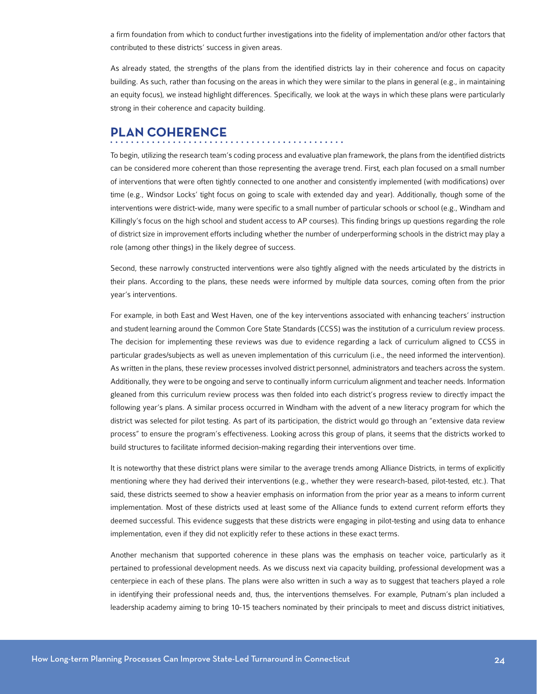a firm foundation from which to conduct further investigations into the fidelity of implementation and/or other factors that contributed to these districts' success in given areas.

As already stated, the strengths of the plans from the identified districts lay in their coherence and focus on capacity building. As such, rather than focusing on the areas in which they were similar to the plans in general (e.g., in maintaining an equity focus), we instead highlight differences. Specifically, we look at the ways in which these plans were particularly strong in their coherence and capacity building.

### **PLAN COHERENCE**

To begin, utilizing the research team's coding process and evaluative plan framework, the plans from the identified districts can be considered more coherent than those representing the average trend. First, each plan focused on a small number of interventions that were often tightly connected to one another and consistently implemented (with modifications) over time (e.g., Windsor Locks' tight focus on going to scale with extended day and year). Additionally, though some of the interventions were district-wide, many were specific to a small number of particular schools or school (e.g., Windham and Killingly's focus on the high school and student access to AP courses). This finding brings up questions regarding the role of district size in improvement efforts including whether the number of underperforming schools in the district may play a role (among other things) in the likely degree of success.

Second, these narrowly constructed interventions were also tightly aligned with the needs articulated by the districts in their plans. According to the plans, these needs were informed by multiple data sources, coming often from the prior year's interventions.

For example, in both East and West Haven, one of the key interventions associated with enhancing teachers' instruction and student learning around the Common Core State Standards (CCSS) was the institution of a curriculum review process. The decision for implementing these reviews was due to evidence regarding a lack of curriculum aligned to CCSS in particular grades/subjects as well as uneven implementation of this curriculum (i.e., the need informed the intervention). As written in the plans, these review processes involved district personnel, administrators and teachers across the system. Additionally, they were to be ongoing and serve to continually inform curriculum alignment and teacher needs. Information gleaned from this curriculum review process was then folded into each district's progress review to directly impact the following year's plans. A similar process occurred in Windham with the advent of a new literacy program for which the district was selected for pilot testing. As part of its participation, the district would go through an "extensive data review process" to ensure the program's effectiveness. Looking across this group of plans, it seems that the districts worked to build structures to facilitate informed decision-making regarding their interventions over time.

It is noteworthy that these district plans were similar to the average trends among Alliance Districts, in terms of explicitly mentioning where they had derived their interventions (e.g., whether they were research-based, pilot-tested, etc.). That said, these districts seemed to show a heavier emphasis on information from the prior year as a means to inform current implementation. Most of these districts used at least some of the Alliance funds to extend current reform efforts they deemed successful. This evidence suggests that these districts were engaging in pilot-testing and using data to enhance implementation, even if they did not explicitly refer to these actions in these exact terms.

Another mechanism that supported coherence in these plans was the emphasis on teacher voice, particularly as it pertained to professional development needs. As we discuss next via capacity building, professional development was a centerpiece in each of these plans. The plans were also written in such a way as to suggest that teachers played a role in identifying their professional needs and, thus, the interventions themselves. For example, Putnam's plan included a leadership academy aiming to bring 10-15 teachers nominated by their principals to meet and discuss district initiatives,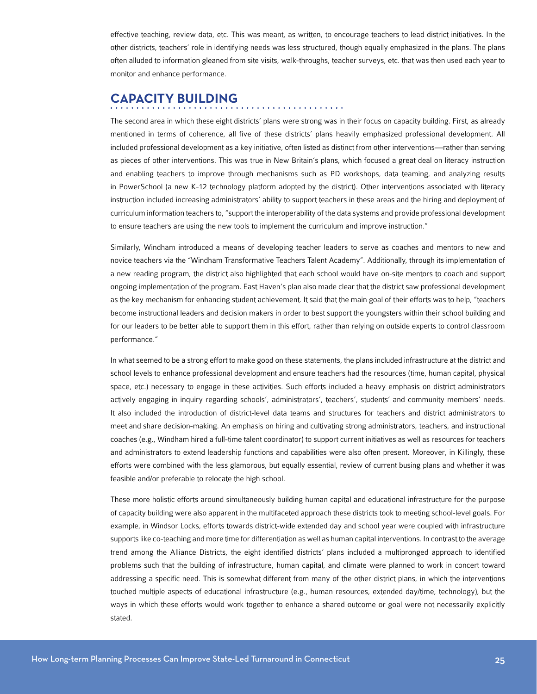effective teaching, review data, etc. This was meant, as written, to encourage teachers to lead district initiatives. In the other districts, teachers' role in identifying needs was less structured, though equally emphasized in the plans. The plans often alluded to information gleaned from site visits, walk-throughs, teacher surveys, etc. that was then used each year to monitor and enhance performance.

### **CAPACITY BUILDING**

The second area in which these eight districts' plans were strong was in their focus on capacity building. First, as already mentioned in terms of coherence, all five of these districts' plans heavily emphasized professional development. All included professional development as a key initiative, often listed as distinct from other interventions—rather than serving as pieces of other interventions. This was true in New Britain's plans, which focused a great deal on literacy instruction and enabling teachers to improve through mechanisms such as PD workshops, data teaming, and analyzing results in PowerSchool (a new K-12 technology platform adopted by the district). Other interventions associated with literacy instruction included increasing administrators' ability to support teachers in these areas and the hiring and deployment of curriculum information teachers to, "support the interoperability of the data systems and provide professional development to ensure teachers are using the new tools to implement the curriculum and improve instruction."

Similarly, Windham introduced a means of developing teacher leaders to serve as coaches and mentors to new and novice teachers via the "Windham Transformative Teachers Talent Academy". Additionally, through its implementation of a new reading program, the district also highlighted that each school would have on-site mentors to coach and support ongoing implementation of the program. East Haven's plan also made clear that the district saw professional development as the key mechanism for enhancing student achievement. It said that the main goal of their efforts was to help, "teachers become instructional leaders and decision makers in order to best support the youngsters within their school building and for our leaders to be better able to support them in this effort, rather than relying on outside experts to control classroom performance."

In what seemed to be a strong effort to make good on these statements, the plans included infrastructure at the district and school levels to enhance professional development and ensure teachers had the resources (time, human capital, physical space, etc.) necessary to engage in these activities. Such efforts included a heavy emphasis on district administrators actively engaging in inquiry regarding schools', administrators', teachers', students' and community members' needs. It also included the introduction of district-level data teams and structures for teachers and district administrators to meet and share decision-making. An emphasis on hiring and cultivating strong administrators, teachers, and instructional coaches (e.g., Windham hired a full-time talent coordinator) to support current initiatives as well as resources for teachers and administrators to extend leadership functions and capabilities were also often present. Moreover, in Killingly, these efforts were combined with the less glamorous, but equally essential, review of current busing plans and whether it was feasible and/or preferable to relocate the high school.

These more holistic efforts around simultaneously building human capital and educational infrastructure for the purpose of capacity building were also apparent in the multifaceted approach these districts took to meeting school-level goals. For example, in Windsor Locks, efforts towards district-wide extended day and school year were coupled with infrastructure supports like co-teaching and more time for differentiation as well as human capital interventions. In contrast to the average trend among the Alliance Districts, the eight identified districts' plans included a multipronged approach to identified problems such that the building of infrastructure, human capital, and climate were planned to work in concert toward addressing a specific need. This is somewhat different from many of the other district plans, in which the interventions touched multiple aspects of educational infrastructure (e.g., human resources, extended day/time, technology), but the ways in which these efforts would work together to enhance a shared outcome or goal were not necessarily explicitly stated.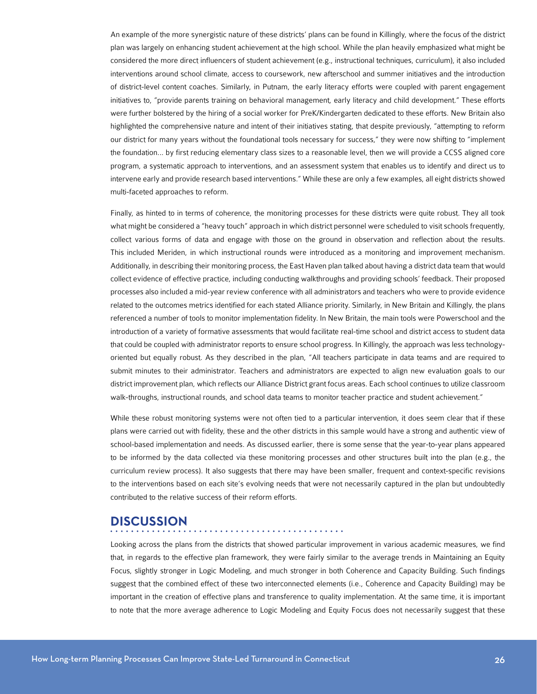An example of the more synergistic nature of these districts' plans can be found in Killingly, where the focus of the district plan was largely on enhancing student achievement at the high school. While the plan heavily emphasized what might be considered the more direct influencers of student achievement (e.g., instructional techniques, curriculum), it also included interventions around school climate, access to coursework, new afterschool and summer initiatives and the introduction of district-level content coaches. Similarly, in Putnam, the early literacy efforts were coupled with parent engagement initiatives to, "provide parents training on behavioral management, early literacy and child development." These efforts were further bolstered by the hiring of a social worker for PreK/Kindergarten dedicated to these efforts. New Britain also highlighted the comprehensive nature and intent of their initiatives stating, that despite previously, "attempting to reform our district for many years without the foundational tools necessary for success," they were now shifting to "implement the foundation... by first reducing elementary class sizes to a reasonable level, then we will provide a CCSS aligned core program, a systematic approach to interventions, and an assessment system that enables us to identify and direct us to intervene early and provide research based interventions." While these are only a few examples, all eight districts showed multi-faceted approaches to reform.

Finally, as hinted to in terms of coherence, the monitoring processes for these districts were quite robust. They all took what might be considered a "heavy touch" approach in which district personnel were scheduled to visit schools frequently, collect various forms of data and engage with those on the ground in observation and reflection about the results. This included Meriden, in which instructional rounds were introduced as a monitoring and improvement mechanism. Additionally, in describing their monitoring process, the East Haven plan talked about having a district data team that would collect evidence of effective practice, including conducting walkthroughs and providing schools' feedback. Their proposed processes also included a mid-year review conference with all administrators and teachers who were to provide evidence related to the outcomes metrics identified for each stated Alliance priority. Similarly, in New Britain and Killingly, the plans referenced a number of tools to monitor implementation fidelity. In New Britain, the main tools were Powerschool and the introduction of a variety of formative assessments that would facilitate real-time school and district access to student data that could be coupled with administrator reports to ensure school progress. In Killingly, the approach was less technologyoriented but equally robust. As they described in the plan, "All teachers participate in data teams and are required to submit minutes to their administrator. Teachers and administrators are expected to align new evaluation goals to our district improvement plan, which reflects our Alliance District grant focus areas. Each school continues to utilize classroom walk-throughs, instructional rounds, and school data teams to monitor teacher practice and student achievement."

While these robust monitoring systems were not often tied to a particular intervention, it does seem clear that if these plans were carried out with fidelity, these and the other districts in this sample would have a strong and authentic view of school-based implementation and needs. As discussed earlier, there is some sense that the year-to-year plans appeared to be informed by the data collected via these monitoring processes and other structures built into the plan (e.g., the curriculum review process). It also suggests that there may have been smaller, frequent and context-specific revisions to the interventions based on each site's evolving needs that were not necessarily captured in the plan but undoubtedly contributed to the relative success of their reform efforts.

### **DISCUSSION**

### . . . . . . . . . . . . . . . .

Looking across the plans from the districts that showed particular improvement in various academic measures, we find that, in regards to the effective plan framework, they were fairly similar to the average trends in Maintaining an Equity Focus, slightly stronger in Logic Modeling, and much stronger in both Coherence and Capacity Building. Such findings suggest that the combined effect of these two interconnected elements (i.e., Coherence and Capacity Building) may be important in the creation of effective plans and transference to quality implementation. At the same time, it is important to note that the more average adherence to Logic Modeling and Equity Focus does not necessarily suggest that these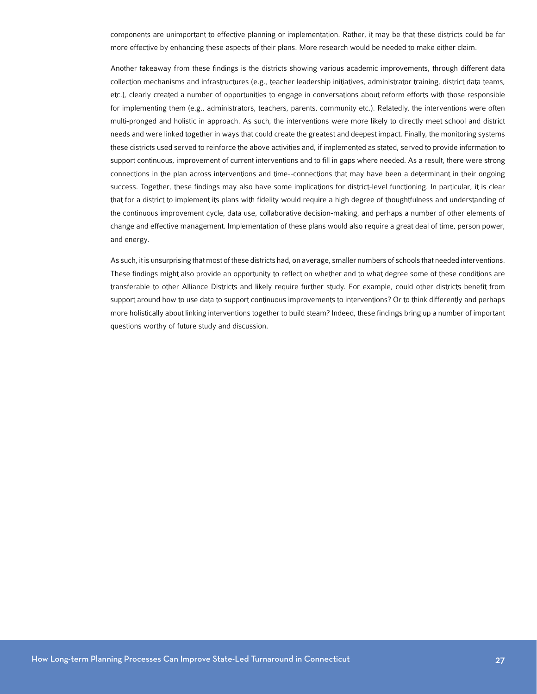components are unimportant to effective planning or implementation. Rather, it may be that these districts could be far more effective by enhancing these aspects of their plans. More research would be needed to make either claim.

Another takeaway from these findings is the districts showing various academic improvements, through different data collection mechanisms and infrastructures (e.g., teacher leadership initiatives, administrator training, district data teams, etc.), clearly created a number of opportunities to engage in conversations about reform efforts with those responsible for implementing them (e.g., administrators, teachers, parents, community etc.). Relatedly, the interventions were often multi-pronged and holistic in approach. As such, the interventions were more likely to directly meet school and district needs and were linked together in ways that could create the greatest and deepest impact. Finally, the monitoring systems these districts used served to reinforce the above activities and, if implemented as stated, served to provide information to support continuous, improvement of current interventions and to fill in gaps where needed. As a result, there were strong connections in the plan across interventions and time--connections that may have been a determinant in their ongoing success. Together, these findings may also have some implications for district-level functioning. In particular, it is clear that for a district to implement its plans with fidelity would require a high degree of thoughtfulness and understanding of the continuous improvement cycle, data use, collaborative decision-making, and perhaps a number of other elements of change and effective management. Implementation of these plans would also require a great deal of time, person power, and energy.

As such, it is unsurprising that most of these districts had, on average, smaller numbers of schools that needed interventions. These findings might also provide an opportunity to reflect on whether and to what degree some of these conditions are transferable to other Alliance Districts and likely require further study. For example, could other districts benefit from support around how to use data to support continuous improvements to interventions? Or to think differently and perhaps more holistically about linking interventions together to build steam? Indeed, these findings bring up a number of important questions worthy of future study and discussion.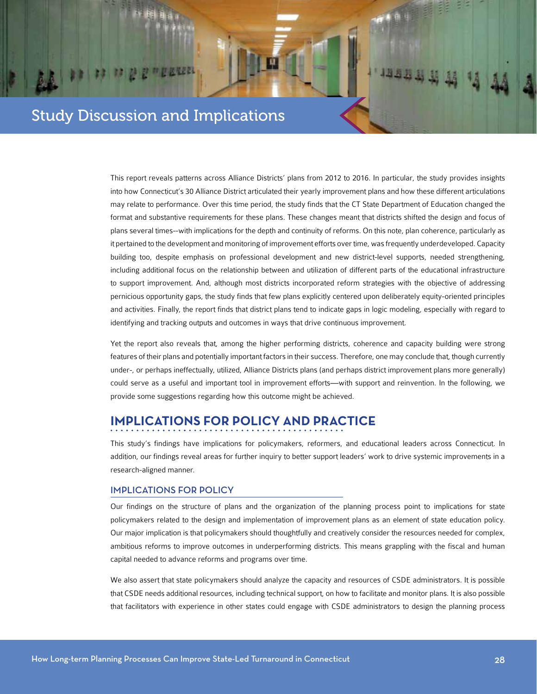# Study Discussion and Implications

<span id="page-29-0"></span>Background on Alliance Districts

This report reveals patterns across Alliance Districts' plans from 2012 to 2016. In particular, the study provides insights into how Connecticut's 30 Alliance District articulated their yearly improvement plans and how these different articulations may relate to performance. Over this time period, the study finds that the CT State Department of Education changed the format and substantive requirements for these plans. These changes meant that districts shifted the design and focus of plans several times--with implications for the depth and continuity of reforms. On this note, plan coherence, particularly as it pertained to the development and monitoring of improvement efforts over time, was frequently underdeveloped. Capacity building too, despite emphasis on professional development and new district-level supports, needed strengthening, including additional focus on the relationship between and utilization of different parts of the educational infrastructure to support improvement. And, although most districts incorporated reform strategies with the objective of addressing pernicious opportunity gaps, the study finds that few plans explicitly centered upon deliberately equity-oriented principles and activities. Finally, the report finds that district plans tend to indicate gaps in logic modeling, especially with regard to identifying and tracking outputs and outcomes in ways that drive continuous improvement.

退退退

Yet the report also reveals that, among the higher performing districts, coherence and capacity building were strong features of their plans and potentially important factors in their success. Therefore, one may conclude that, though currently under-, or perhaps ineffectually, utilized, Alliance Districts plans (and perhaps district improvement plans more generally) could serve as a useful and important tool in improvement efforts—with support and reinvention. In the following, we provide some suggestions regarding how this outcome might be achieved.

## **IMPLICATIONS FOR POLICY AND PRACTICE**

This study's findings have implications for policymakers, reformers, and educational leaders across Connecticut. In addition, our findings reveal areas for further inquiry to better support leaders' work to drive systemic improvements in a research-aligned manner.

#### IMPLICATIONS FOR POLICY

Our findings on the structure of plans and the organization of the planning process point to implications for state policymakers related to the design and implementation of improvement plans as an element of state education policy. Our major implication is that policymakers should thoughtfully and creatively consider the resources needed for complex, ambitious reforms to improve outcomes in underperforming districts. This means grappling with the fiscal and human capital needed to advance reforms and programs over time.

We also assert that state policymakers should analyze the capacity and resources of CSDE administrators. It is possible that CSDE needs additional resources, including technical support, on how to facilitate and monitor plans. It is also possible that facilitators with experience in other states could engage with CSDE administrators to design the planning process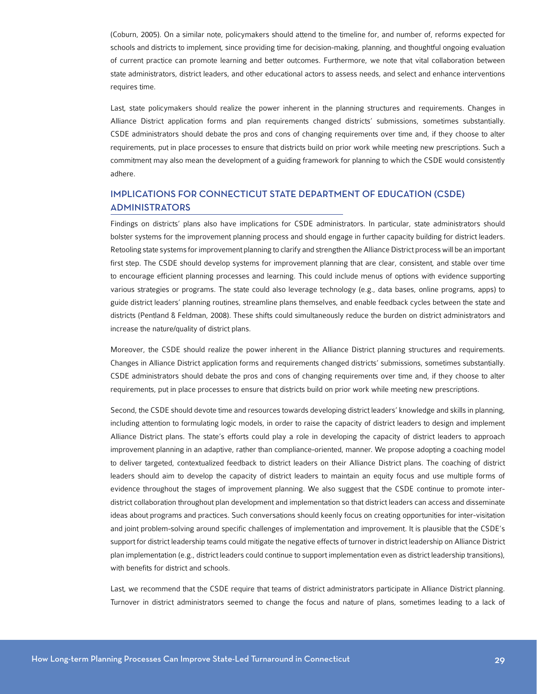(Coburn, 2005). On a similar note, policymakers should attend to the timeline for, and number of, reforms expected for schools and districts to implement, since providing time for decision-making, planning, and thoughtful ongoing evaluation of current practice can promote learning and better outcomes. Furthermore, we note that vital collaboration between state administrators, district leaders, and other educational actors to assess needs, and select and enhance interventions requires time.

Last, state policymakers should realize the power inherent in the planning structures and requirements. Changes in Alliance District application forms and plan requirements changed districts' submissions, sometimes substantially. CSDE administrators should debate the pros and cons of changing requirements over time and, if they choose to alter requirements, put in place processes to ensure that districts build on prior work while meeting new prescriptions. Such a commitment may also mean the development of a guiding framework for planning to which the CSDE would consistently adhere.

### IMPLICATIONS FOR CONNECTICUT STATE DEPARTMENT OF EDUCATION (CSDE) ADMINISTRATORS

Findings on districts' plans also have implications for CSDE administrators. In particular, state administrators should bolster systems for the improvement planning process and should engage in further capacity building for district leaders. Retooling state systems for improvement planning to clarify and strengthen the Alliance District process will be an important first step. The CSDE should develop systems for improvement planning that are clear, consistent, and stable over time to encourage efficient planning processes and learning. This could include menus of options with evidence supporting various strategies or programs. The state could also leverage technology (e.g., data bases, online programs, apps) to guide district leaders' planning routines, streamline plans themselves, and enable feedback cycles between the state and districts (Pentland & Feldman, 2008). These shifts could simultaneously reduce the burden on district administrators and increase the nature/quality of district plans.

Moreover, the CSDE should realize the power inherent in the Alliance District planning structures and requirements. Changes in Alliance District application forms and requirements changed districts' submissions, sometimes substantially. CSDE administrators should debate the pros and cons of changing requirements over time and, if they choose to alter requirements, put in place processes to ensure that districts build on prior work while meeting new prescriptions.

Second, the CSDE should devote time and resources towards developing district leaders' knowledge and skills in planning, including attention to formulating logic models, in order to raise the capacity of district leaders to design and implement Alliance District plans. The state's efforts could play a role in developing the capacity of district leaders to approach improvement planning in an adaptive, rather than compliance-oriented, manner. We propose adopting a coaching model to deliver targeted, contextualized feedback to district leaders on their Alliance District plans. The coaching of district leaders should aim to develop the capacity of district leaders to maintain an equity focus and use multiple forms of evidence throughout the stages of improvement planning. We also suggest that the CSDE continue to promote interdistrict collaboration throughout plan development and implementation so that district leaders can access and disseminate ideas about programs and practices. Such conversations should keenly focus on creating opportunities for inter-visitation and joint problem-solving around specific challenges of implementation and improvement. It is plausible that the CSDE's support for district leadership teams could mitigate the negative effects of turnover in district leadership on Alliance District plan implementation (e.g., district leaders could continue to support implementation even as district leadership transitions), with benefits for district and schools.

Last, we recommend that the CSDE require that teams of district administrators participate in Alliance District planning. Turnover in district administrators seemed to change the focus and nature of plans, sometimes leading to a lack of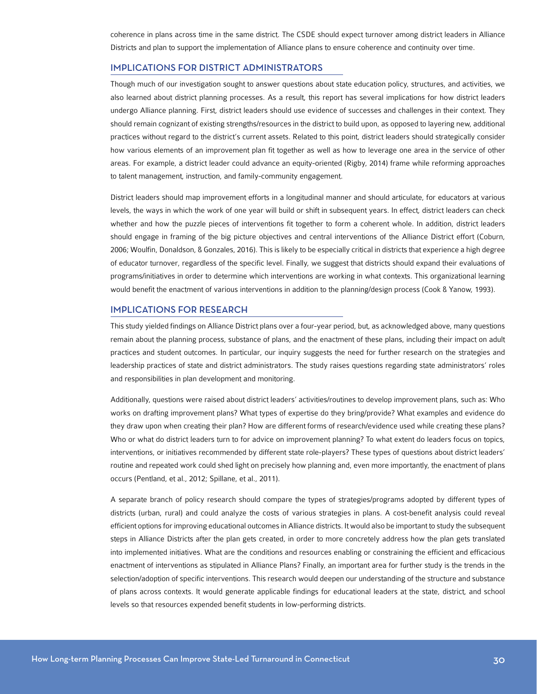coherence in plans across time in the same district. The CSDE should expect turnover among district leaders in Alliance Districts and plan to support the implementation of Alliance plans to ensure coherence and continuity over time.

#### IMPLICATIONS FOR DISTRICT ADMINISTRATORS

Though much of our investigation sought to answer questions about state education policy, structures, and activities, we also learned about district planning processes. As a result, this report has several implications for how district leaders undergo Alliance planning. First, district leaders should use evidence of successes and challenges in their context. They should remain cognizant of existing strengths/resources in the district to build upon, as opposed to layering new, additional practices without regard to the district's current assets. Related to this point, district leaders should strategically consider how various elements of an improvement plan fit together as well as how to leverage one area in the service of other areas. For example, a district leader could advance an equity-oriented (Rigby, 2014) frame while reforming approaches to talent management, instruction, and family-community engagement.

District leaders should map improvement efforts in a longitudinal manner and should articulate, for educators at various levels, the ways in which the work of one year will build or shift in subsequent years. In effect, district leaders can check whether and how the puzzle pieces of interventions fit together to form a coherent whole. In addition, district leaders should engage in framing of the big picture objectives and central interventions of the Alliance District effort (Coburn, 2006; Woulfin, Donaldson, & Gonzales, 2016). This is likely to be especially critical in districts that experience a high degree of educator turnover, regardless of the specific level. Finally, we suggest that districts should expand their evaluations of programs/initiatives in order to determine which interventions are working in what contexts. This organizational learning would benefit the enactment of various interventions in addition to the planning/design process (Cook & Yanow, 1993).

#### IMPLICATIONS FOR RESEARCH

This study yielded findings on Alliance District plans over a four-year period, but, as acknowledged above, many questions remain about the planning process, substance of plans, and the enactment of these plans, including their impact on adult practices and student outcomes. In particular, our inquiry suggests the need for further research on the strategies and leadership practices of state and district administrators. The study raises questions regarding state administrators' roles and responsibilities in plan development and monitoring.

Additionally, questions were raised about district leaders' activities/routines to develop improvement plans, such as: Who works on drafting improvement plans? What types of expertise do they bring/provide? What examples and evidence do they draw upon when creating their plan? How are different forms of research/evidence used while creating these plans? Who or what do district leaders turn to for advice on improvement planning? To what extent do leaders focus on topics, interventions, or initiatives recommended by different state role-players? These types of questions about district leaders' routine and repeated work could shed light on precisely how planning and, even more importantly, the enactment of plans occurs (Pentland, et al., 2012; Spillane, et al., 2011).

A separate branch of policy research should compare the types of strategies/programs adopted by different types of districts (urban, rural) and could analyze the costs of various strategies in plans. A cost-benefit analysis could reveal efficient options for improving educational outcomes in Alliance districts. It would also be important to study the subsequent steps in Alliance Districts after the plan gets created, in order to more concretely address how the plan gets translated into implemented initiatives. What are the conditions and resources enabling or constraining the efficient and efficacious enactment of interventions as stipulated in Alliance Plans? Finally, an important area for further study is the trends in the selection/adoption of specific interventions. This research would deepen our understanding of the structure and substance of plans across contexts. It would generate applicable findings for educational leaders at the state, district, and school levels so that resources expended benefit students in low-performing districts.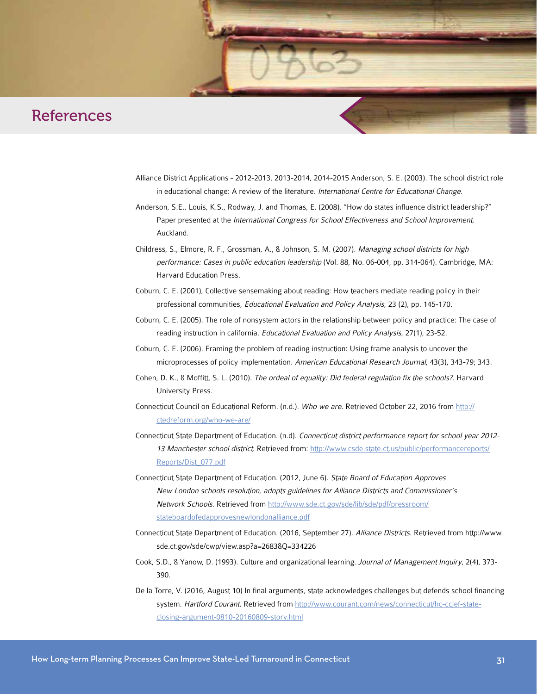# References

<span id="page-32-0"></span>Background on Alliance Districts

- Alliance District Applications 2012-2013, 2013-2014, 2014-2015 Anderson, S. E. (2003). The school district role in educational change: A review of the literature. International Centre for Educational Change.
- Anderson, S.E., Louis, K.S., Rodway, J. and Thomas, E. (2008), "How do states influence district leadership?" Paper presented at the International Congress for School Effectiveness and School Improvement, Auckland.
- Childress, S., Elmore, R. F., Grossman, A., & Johnson, S. M. (2007). Managing school districts for high performance: Cases in public education leadership (Vol. 88, No. 06-004, pp. 314-064). Cambridge, MA: Harvard Education Press.
- Coburn, C. E. (2001), Collective sensemaking about reading: How teachers mediate reading policy in their professional communities, Educational Evaluation and Policy Analysis, 23 (2), pp. 145-170.
- Coburn, C. E. (2005). The role of nonsystem actors in the relationship between policy and practice: The case of reading instruction in california. Educational Evaluation and Policy Analysis, 27(1), 23-52.
- Coburn, C. E. (2006). Framing the problem of reading instruction: Using frame analysis to uncover the microprocesses of policy implementation. American Educational Research Journal, 43(3), 343-79; 343.
- Cohen, D. K., & Moffitt, S. L. (2010). The ordeal of equality: Did federal regulation fix the schools?. Harvard University Press.
- Connecticut Council on Educational Reform. (n.d.). Who we are. Retrieved October 22, 2016 from [http://](http://ctedreform.org/who-we-are/) [ctedreform.org/who-we-are/](http://ctedreform.org/who-we-are/)
- Connecticut State Department of Education. (n.d). Connecticut district performance report for school year 2012 13 Manchester school district. Retrieved from: [http://www.csde.state.ct.us/public/performancereports/](http://www.csde.state.ct.us/public/performancereports/Reports/Dist_077.pdf) [Reports/Dist\\_077.pdf](http://www.csde.state.ct.us/public/performancereports/Reports/Dist_077.pdf)
- Connecticut State Department of Education. (2012, June 6). State Board of Education Approves New London schools resolution, adopts guidelines for Alliance Districts and Commissioner's Network Schools. Retrieved from [http://www.sde.ct.gov/sde/lib/sde/pdf/pressroom/](http://www.sde.ct.gov/sde/lib/sde/pdf/pressroom/stateboardofedapprovesnewlondonalliance.pdf) [stateboardofedapprovesnewlondonalliance.pdf](http://www.sde.ct.gov/sde/lib/sde/pdf/pressroom/stateboardofedapprovesnewlondonalliance.pdf)
- Connecticut State Department of Education. (2016, September 27). Alliance Districts. Retrieved from http://www. sde.ct.gov/sde/cwp/view.asp?a=2683&Q=334226
- Cook, S.D., & Yanow, D. (1993). Culture and organizational learning. Journal of Management Inquiry, 2(4), 373- 390.
- De la Torre, V. (2016, August 10) In final arguments, state acknowledges challenges but defends school financing system. Hartford Courant. Retrieved from [http://www.courant.com/news/connecticut/hc-ccjef-state](http://www.courant.com/news/connecticut/hc-ccjef-state-closing-argument-0810-20160809-story.html)[closing-argument-0810-20160809-story.html](http://www.courant.com/news/connecticut/hc-ccjef-state-closing-argument-0810-20160809-story.html)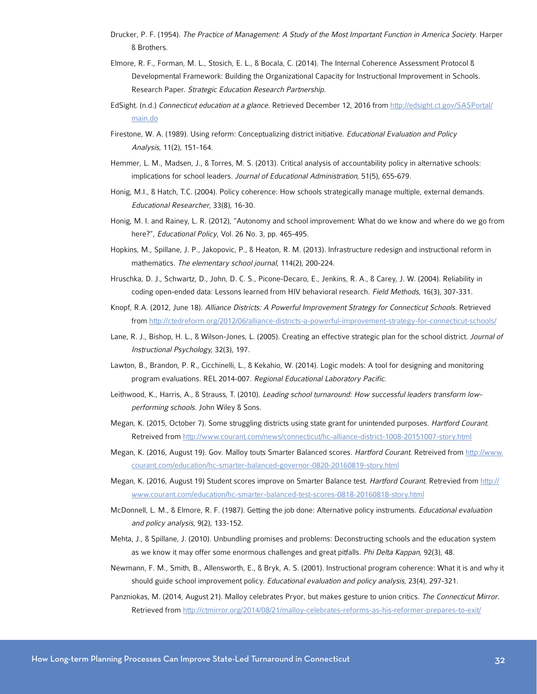- Drucker, P. F. (1954). The Practice of Management: A Study of the Most Important Function in America Society. Harper & Brothers.
- Elmore, R. F., Forman, M. L., Stosich, E. L., & Bocala, C. (2014). The Internal Coherence Assessment Protocol & Developmental Framework: Building the Organizational Capacity for Instructional Improvement in Schools. Research Paper. Strategic Education Research Partnership.
- EdSight. (n.d.) Connecticut education at a glance. Retrieved December 12, 2016 from [http://edsight.ct.gov/SASPortal/](http://edsight.ct.gov/SASPortal/main.do) [main.do](http://edsight.ct.gov/SASPortal/main.do)
- Firestone, W. A. (1989). Using reform: Conceptualizing district initiative. Educational Evaluation and Policy Analysis, 11(2), 151-164.
- Hemmer, L. M., Madsen, J., & Torres, M. S. (2013). Critical analysis of accountability policy in alternative schools: implications for school leaders. Journal of Educational Administration, 51(5), 655-679.
- Honig, M.I., & Hatch, T.C. (2004). Policy coherence: How schools strategically manage multiple, external demands. Educational Researcher, 33(8), 16-30.
- Honig, M. I. and Rainey, L. R. (2012), "Autonomy and school improvement: What do we know and where do we go from here?", Educational Policy, Vol. 26 No. 3, pp. 465-495.
- Hopkins, M., Spillane, J. P., Jakopovic, P., & Heaton, R. M. (2013). Infrastructure redesign and instructional reform in mathematics. The elementary school journal, 114(2), 200-224.
- Hruschka, D. J., Schwartz, D., John, D. C. S., Picone-Decaro, E., Jenkins, R. A., & Carey, J. W. (2004). Reliability in coding open-ended data: Lessons learned from HIV behavioral research. Field Methods, 16(3), 307-331.
- Knopf, R.A. (2012, June 18). Alliance Districts: A Powerful Improvement Strategy for Connecticut Schools. Retrieved from<http://ctedreform.org/2012/06/alliance-districts-a-powerful-improvement-strategy-for-connecticut-schools/>
- Lane, R. J., Bishop, H. L., & Wilson-Jones, L. (2005). Creating an effective strategic plan for the school district. Journal of Instructional Psychology, 32(3), 197.
- Lawton, B., Brandon, P. R., Cicchinelli, L., & Kekahio, W. (2014). Logic models: A tool for designing and monitoring program evaluations. REL 2014-007. Regional Educational Laboratory Pacific.
- Leithwood, K., Harris, A., & Strauss, T. (2010). Leading school turnaround: How successful leaders transform lowperforming schools. John Wiley & Sons.
- Megan, K. (2015, October 7). Some struggling districts using state grant for unintended purposes. Hartford Courant. Retreived from <http://www.courant.com/news/connecticut/hc-alliance-district-1008-20151007-story.html>
- Megan, K. (2016, August 19). Gov. Malloy touts Smarter Balanced scores. Hartford Courant. Retreived from [http://www.](http://www.courant.com/education/hc-smarter-balanced-governor-0820-20160819-story.html) [courant.com/education/hc-smarter-balanced-governor-0820-20160819-story.html](http://www.courant.com/education/hc-smarter-balanced-governor-0820-20160819-story.html)
- Megan, K. (2016, August 19) Student scores improve on Smarter Balance test. Hartford Courant. Retrevied from [http://](http://www.courant.com/education/hc-smarter-balanced-test-scores-0818-20160818-story.html) [www.courant.com/education/hc-smarter-balanced-test-scores-0818-20160818-story.html](http://www.courant.com/education/hc-smarter-balanced-test-scores-0818-20160818-story.html)
- McDonnell, L. M., 8 Elmore, R. F. (1987). Getting the job done: Alternative policy instruments. Educational evaluation and policy analysis, 9(2), 133-152.
- Mehta, J., & Spillane, J. (2010). Unbundling promises and problems: Deconstructing schools and the education system as we know it may offer some enormous challenges and great pitfalls. Phi Delta Kappan, 92(3), 48.
- Newmann, F. M., Smith, B., Allensworth, E., & Bryk, A. S. (2001). Instructional program coherence: What it is and why it should guide school improvement policy. Educational evaluation and policy analysis, 23(4), 297-321.
- Panzniokas, M. (2014, August 21). Malloy celebrates Pryor, but makes gesture to union critics. The Connecticut Mirror. Retrieved from <http://ctmirror.org/2014/08/21/malloy-celebrates-reforms-as-his-reformer-prepares-to-exit/>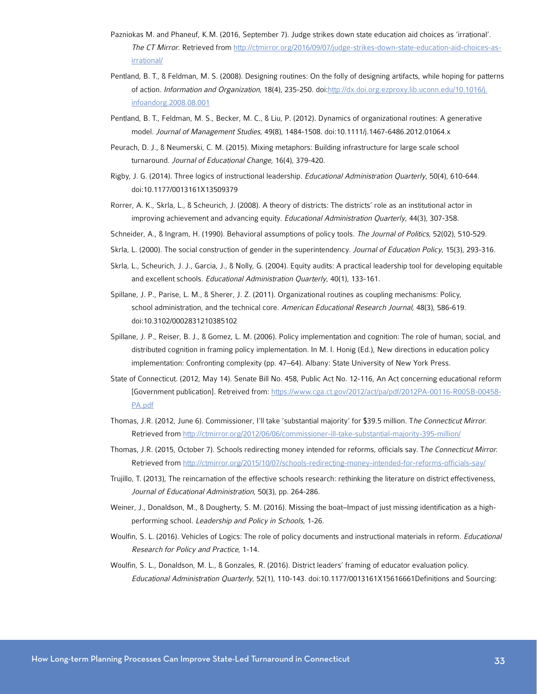- Pazniokas M. and Phaneuf, K.M. (2016, September 7). Judge strikes down state education aid choices as 'irrational'. The CT Mirror. Retrieved from [http://ctmirror.org/2016/09/07/judge-strikes-down-state-education-aid-choices-as](http://ctmirror.org/2016/09/07/judge-strikes-down-state-education-aid-choices-as-irrational/)[irrational/](http://ctmirror.org/2016/09/07/judge-strikes-down-state-education-aid-choices-as-irrational/)
- Pentland, B. T., & Feldman, M. S. (2008). Designing routines: On the folly of designing artifacts, while hoping for patterns of action. Information and Organization, 18(4), 235-250. doi:[http://dx.doi.org.ezproxy.lib.uconn.edu/10.1016/j.](http://dx.doi.org.ezproxy.lib.uconn.edu/10.1016/j.infoandorg.2008.08.001) [infoandorg.2008.08.001](http://dx.doi.org.ezproxy.lib.uconn.edu/10.1016/j.infoandorg.2008.08.001)
- Pentland, B. T., Feldman, M. S., Becker, M. C., & Liu, P. (2012). Dynamics of organizational routines: A generative model. Journal of Management Studies, 49(8), 1484-1508. doi:10.1111/j.1467-6486.2012.01064.x
- Peurach, D. J., & Neumerski, C. M. (2015). Mixing metaphors: Building infrastructure for large scale school turnaround. Journal of Educational Change, 16(4), 379-420.
- Rigby, J. G. (2014). Three logics of instructional leadership. Educational Administration Ouarterly, 50(4), 610-644. doi:10.1177/0013161X13509379
- Rorrer, A. K., Skrla, L., & Scheurich, J. (2008). A theory of districts: The districts' role as an institutional actor in improving achievement and advancing equity. Educational Administration Quarterly, 44(3), 307-358.
- Schneider, A., & Ingram, H. (1990). Behavioral assumptions of policy tools. The Journal of Politics, 52(02), 510-529.
- Skrla, L. (2000). The social construction of gender in the superintendency. Journal of Education Policy, 15(3), 293-316.
- Skrla, L., Scheurich, J. J., Garcia, J., & Nolly, G. (2004). Equity audits: A practical leadership tool for developing equitable and excellent schools. Educational Administration Quarterly, 40(1), 133-161.
- Spillane, J. P., Parise, L. M., & Sherer, J. Z. (2011). Organizational routines as coupling mechanisms: Policy, school administration, and the technical core. American Educational Research Journal, 48(3), 586-619. doi:10.3102/0002831210385102
- Spillane, J. P., Reiser, B. J., & Gomez, L. M. (2006). Policy implementation and cognition: The role of human, social, and distributed cognition in framing policy implementation. In M. I. Honig (Ed.), New directions in education policy implementation: Confronting complexity (pp. 47–64). Albany: State University of New York Press.
- State of Connecticut. (2012, May 14). Senate Bill No. 458, Public Act No. 12-116, An Act concerning educational reform [Government publication]. Retreived from: [https://www.cga.ct.gov/2012/act/pa/pdf/2012PA-00116-R00SB-00458-](https://www.cga.ct.gov/2012/act/pa/pdf/2012PA-00116-R00SB-00458-PA.pdf) [PA.pdf](https://www.cga.ct.gov/2012/act/pa/pdf/2012PA-00116-R00SB-00458-PA.pdf)
- Thomas, J.R. (2012, June 6). Commissioner, I'll take 'substantial majority' for \$39.5 million. The Connecticut Mirror. Retrieved from <http://ctmirror.org/2012/06/06/commissioner-ill-take-substantial-majority-395-million/>
- Thomas, J.R. (2015, October 7). Schools redirecting money intended for reforms, officials say. The Connecticut Mirror. Retrieved from <http://ctmirror.org/2015/10/07/schools-redirecting-money-intended-for-reforms-officials-say/>
- Trujillo, T. (2013), The reincarnation of the effective schools research: rethinking the literature on district effectiveness, Journal of Educational Administration, 50(3), pp. 264-286.
- Weiner, J., Donaldson, M., & Dougherty, S. M. (2016). Missing the boat–Impact of just missing identification as a highperforming school. Leadership and Policy in Schools, 1-26.
- Woulfin, S. L. (2016). Vehicles of Logics: The role of policy documents and instructional materials in reform. Educational Research for Policy and Practice, 1-14.
- Woulfin, S. L., Donaldson, M. L., & Gonzales, R. (2016). District leaders' framing of educator evaluation policy. Educational Administration Quarterly, 52(1), 110-143. doi:10.1177/0013161X15616661Definitions and Sourcing: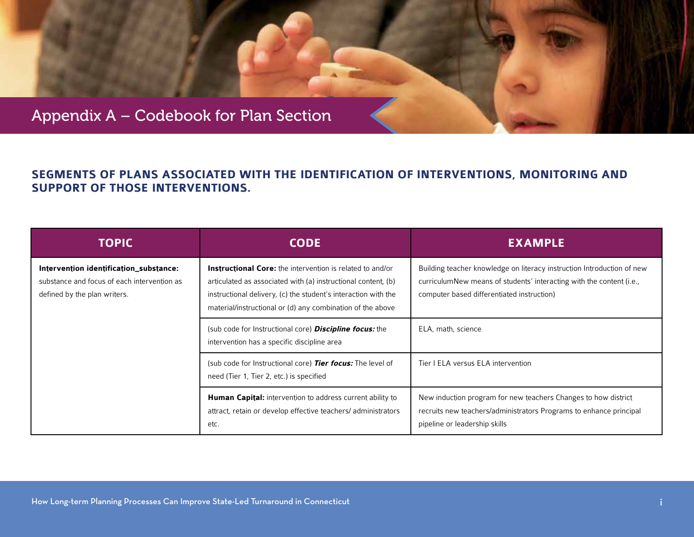<span id="page-35-0"></span>Appendix A – Codebook for Plan Section

### **SEGMENTS OF PLANS ASSOCIATED WITH THE IDENTIFICATION OF INTERVENTIONS, MONITORING AND SUPPORT OF THOSE INTERVENTIONS.**

| <b>TOPIC</b>                                                                                                          | <b>CODE</b>                                                                                                                                                                                                                                                       | <b>EXAMPLE</b>                                                                                                                                                                               |
|-----------------------------------------------------------------------------------------------------------------------|-------------------------------------------------------------------------------------------------------------------------------------------------------------------------------------------------------------------------------------------------------------------|----------------------------------------------------------------------------------------------------------------------------------------------------------------------------------------------|
| Intervention identification_substance:<br>substance and focus of each intervention as<br>defined by the plan writers. | <b>Instructional Core:</b> the intervention is related to and/or<br>articulated as associated with (a) instructional content, (b)<br>instructional delivery, (c) the student's interaction with the<br>material/instructional or (d) any combination of the above | Building teacher knowledge on literacy instruction Introduction of new<br>curriculumNew means of students' interacting with the content (i.e.,<br>computer based differentiated instruction) |
|                                                                                                                       | (sub code for Instructional core) <b>Discipline focus:</b> the<br>intervention has a specific discipline area                                                                                                                                                     | ELA, math, science                                                                                                                                                                           |
|                                                                                                                       | (sub code for Instructional core) Tier focus: The level of<br>need (Tier 1, Tier 2, etc.) is specified                                                                                                                                                            | Tier I ELA versus ELA intervention                                                                                                                                                           |
|                                                                                                                       | <b>Human Capital:</b> intervention to address current ability to<br>attract, retain or develop effective teachers/ administrators<br>etc.                                                                                                                         | New induction program for new teachers Changes to how district<br>recruits new teachers/administrators Programs to enhance principal<br>pipeline or leadership skills                        |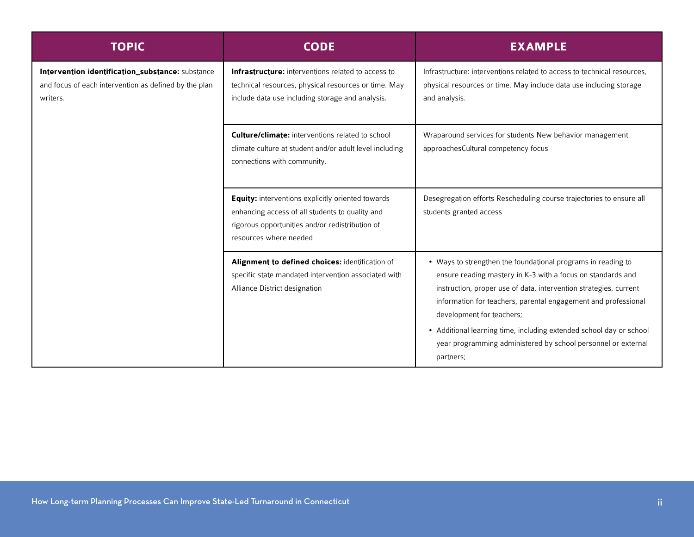| <b>TOPIC</b>                                                                                                          | <b>CODE</b>                                                                                                                                                                       | <b>EXAMPLE</b>                                                                                                                                                                                                                                                                                                                                                                                                                                       |
|-----------------------------------------------------------------------------------------------------------------------|-----------------------------------------------------------------------------------------------------------------------------------------------------------------------------------|------------------------------------------------------------------------------------------------------------------------------------------------------------------------------------------------------------------------------------------------------------------------------------------------------------------------------------------------------------------------------------------------------------------------------------------------------|
| Intervention identification_substance: substance<br>and focus of each intervention as defined by the plan<br>writers. | <b>Infrastructure:</b> interventions related to access to<br>technical resources, physical resources or time. May<br>include data use including storage and analysis.             | Infrastructure: interventions related to access to technical resources,<br>physical resources or time. May include data use including storage<br>and analysis.                                                                                                                                                                                                                                                                                       |
|                                                                                                                       | <b>Culture/climate:</b> interventions related to school<br>climate culture at student and/or adult level including<br>connections with community.                                 | Wraparound services for students New behavior management<br>approachesCultural competency focus                                                                                                                                                                                                                                                                                                                                                      |
|                                                                                                                       | Equity: interventions explicitly oriented towards<br>enhancing access of all students to quality and<br>rigorous opportunities and/or redistribution of<br>resources where needed | Desegregation efforts Rescheduling course trajectories to ensure all<br>students granted access                                                                                                                                                                                                                                                                                                                                                      |
|                                                                                                                       | Alignment to defined choices: identification of<br>specific state mandated intervention associated with<br>Alliance District designation                                          | • Ways to strengthen the foundational programs in reading to<br>ensure reading mastery in K-3 with a focus on standards and<br>instruction, proper use of data, intervention strategies, current<br>information for teachers, parental engagement and professional<br>development for teachers;<br>• Additional learning time, including extended school day or school<br>year programming administered by school personnel or external<br>partners; |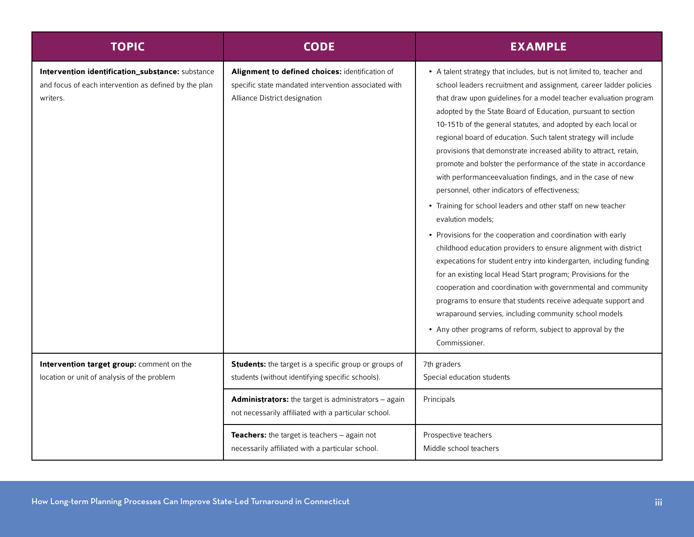| <b>TOPIC</b>                                                                                                          | <b>CODE</b>                                                                                                                              | <b>EXAMPLE</b>                                                                                                                                                                                                                                                                                                                                                                                                                                                                                                                                                                                                                                                                                                                                                                                                                                                                                                                                                                                                                                                                                                                                                                                                                                                                                                  |
|-----------------------------------------------------------------------------------------------------------------------|------------------------------------------------------------------------------------------------------------------------------------------|-----------------------------------------------------------------------------------------------------------------------------------------------------------------------------------------------------------------------------------------------------------------------------------------------------------------------------------------------------------------------------------------------------------------------------------------------------------------------------------------------------------------------------------------------------------------------------------------------------------------------------------------------------------------------------------------------------------------------------------------------------------------------------------------------------------------------------------------------------------------------------------------------------------------------------------------------------------------------------------------------------------------------------------------------------------------------------------------------------------------------------------------------------------------------------------------------------------------------------------------------------------------------------------------------------------------|
| Intervention identification_substance: substance<br>and focus of each intervention as defined by the plan<br>writers. | Alignment to defined choices: identification of<br>specific state mandated intervention associated with<br>Alliance District designation | • A talent strategy that includes, but is not limited to, teacher and<br>school leaders recruitment and assignment, career ladder policies<br>that draw upon guidelines for a model teacher evaluation program<br>adopted by the State Board of Education, pursuant to section<br>10-151b of the general statutes, and adopted by each local or<br>regional board of education. Such talent strategy will include<br>provisions that demonstrate increased ability to attract, retain,<br>promote and bolster the performance of the state in accordance<br>with performanceevaluation findings, and in the case of new<br>personnel, other indicators of effectiveness;<br>• Training for school leaders and other staff on new teacher<br>evalution models;<br>• Provisions for the cooperation and coordination with early<br>childhood education providers to ensure alignment with district<br>expecations for student entry into kindergarten, including funding<br>for an existing local Head Start program; Provisions for the<br>cooperation and coordination with governmental and community<br>programs to ensure that students receive adequate support and<br>wraparound servies, including community school models<br>• Any other programs of reform, subject to approval by the<br>Commissioner. |
| Intervention target group: comment on the<br>location or unit of analysis of the problem                              | Students: the target is a specific group or groups of<br>students (without identifying specific schools).                                | 7th graders<br>Special education students                                                                                                                                                                                                                                                                                                                                                                                                                                                                                                                                                                                                                                                                                                                                                                                                                                                                                                                                                                                                                                                                                                                                                                                                                                                                       |
|                                                                                                                       | Administrators: the target is administrators - again<br>not necessarily affiliated with a particular school.                             | Principals                                                                                                                                                                                                                                                                                                                                                                                                                                                                                                                                                                                                                                                                                                                                                                                                                                                                                                                                                                                                                                                                                                                                                                                                                                                                                                      |
|                                                                                                                       | Teachers: the target is teachers - again not<br>necessarily affiliated with a particular school.                                         | Prospective teachers<br>Middle school teachers                                                                                                                                                                                                                                                                                                                                                                                                                                                                                                                                                                                                                                                                                                                                                                                                                                                                                                                                                                                                                                                                                                                                                                                                                                                                  |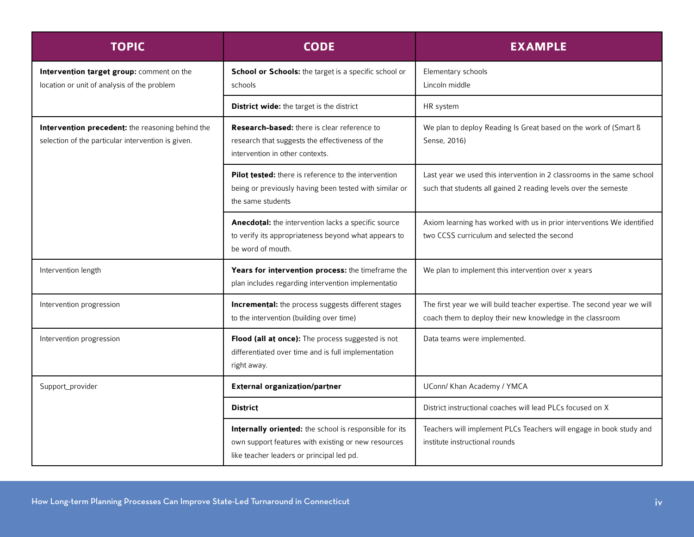| <b>TOPIC</b>                                                                                           | <b>CODE</b>                                                                                                                                                | <b>EXAMPLE</b>                                                                                                                            |
|--------------------------------------------------------------------------------------------------------|------------------------------------------------------------------------------------------------------------------------------------------------------------|-------------------------------------------------------------------------------------------------------------------------------------------|
| Intervention target group: comment on the<br>location or unit of analysis of the problem               | School or Schools: the target is a specific school or<br>schools                                                                                           | Elementary schools<br>Lincoln middle                                                                                                      |
|                                                                                                        | District wide: the target is the district                                                                                                                  | HR system                                                                                                                                 |
| Intervention precedent: the reasoning behind the<br>selection of the particular intervention is given. | <b>Research-based:</b> there is clear reference to<br>research that suggests the effectiveness of the<br>intervention in other contexts.                   | We plan to deploy Reading Is Great based on the work of (Smart &<br>Sense, 2016)                                                          |
|                                                                                                        | <b>Pilot tested:</b> there is reference to the intervention<br>being or previously having been tested with similar or<br>the same students                 | Last year we used this intervention in 2 classrooms in the same school<br>such that students all gained 2 reading levels over the semeste |
|                                                                                                        | Anecdotal: the intervention lacks a specific source<br>to verify its appropriateness beyond what appears to<br>be word of mouth.                           | Axiom learning has worked with us in prior interventions We identified<br>two CCSS curriculum and selected the second                     |
| Intervention length                                                                                    | Years for intervention process: the timeframe the<br>plan includes regarding intervention implementatio                                                    | We plan to implement this intervention over x years                                                                                       |
| Intervention progression                                                                               | <b>Incremental:</b> the process suggests different stages<br>to the intervention (building over time)                                                      | The first year we will build teacher expertise. The second year we will<br>coach them to deploy their new knowledge in the classroom      |
| Intervention progression                                                                               | Flood (all at once): The process suggested is not<br>differentiated over time and is full implementation<br>right away.                                    | Data teams were implemented.                                                                                                              |
| Support_provider                                                                                       | <b>External organization/partner</b>                                                                                                                       | UConn/ Khan Academy / YMCA                                                                                                                |
|                                                                                                        | <b>District</b>                                                                                                                                            | District instructional coaches will lead PLCs focused on X                                                                                |
|                                                                                                        | Internally oriented: the school is responsible for its<br>own support features with existing or new resources<br>like teacher leaders or principal led pd. | Teachers will implement PLCs Teachers will engage in book study and<br>institute instructional rounds                                     |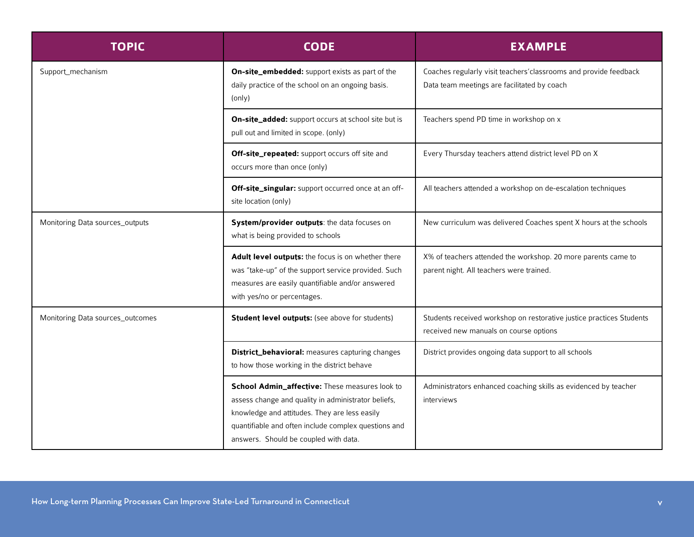| <b>TOPIC</b>                     | <b>CODE</b>                                                                                                                                                                                                                                             | <b>EXAMPLE</b>                                                                                                   |
|----------------------------------|---------------------------------------------------------------------------------------------------------------------------------------------------------------------------------------------------------------------------------------------------------|------------------------------------------------------------------------------------------------------------------|
| Support_mechanism                | On-site_embedded: support exists as part of the<br>daily practice of the school on an ongoing basis.<br>(only)                                                                                                                                          | Coaches regularly visit teachers' classrooms and provide feedback<br>Data team meetings are facilitated by coach |
|                                  | On-site_added: support occurs at school site but is<br>pull out and limited in scope. (only)                                                                                                                                                            | Teachers spend PD time in workshop on x                                                                          |
|                                  | Off-site_repeated: support occurs off site and<br>occurs more than once (only)                                                                                                                                                                          | Every Thursday teachers attend district level PD on X                                                            |
|                                  | Off-site_singular: support occurred once at an off-<br>site location (only)                                                                                                                                                                             | All teachers attended a workshop on de-escalation techniques                                                     |
| Monitoring Data sources_outputs  | System/provider outputs: the data focuses on<br>what is being provided to schools                                                                                                                                                                       | New curriculum was delivered Coaches spent X hours at the schools                                                |
|                                  | Adult level outputs: the focus is on whether there<br>was "take-up" of the support service provided. Such<br>measures are easily quantifiable and/or answered<br>with yes/no or percentages.                                                            | X% of teachers attended the workshop. 20 more parents came to<br>parent night. All teachers were trained.        |
| Monitoring Data sources_outcomes | Student level outputs: (see above for students)                                                                                                                                                                                                         | Students received workshop on restorative justice practices Students<br>received new manuals on course options   |
|                                  | <b>District_behavioral:</b> measures capturing changes<br>to how those working in the district behave                                                                                                                                                   | District provides ongoing data support to all schools                                                            |
|                                  | School Admin_affective: These measures look to<br>assess change and quality in administrator beliefs,<br>knowledge and attitudes. They are less easily<br>quantifiable and often include complex questions and<br>answers. Should be coupled with data. | Administrators enhanced coaching skills as evidenced by teacher<br>interviews                                    |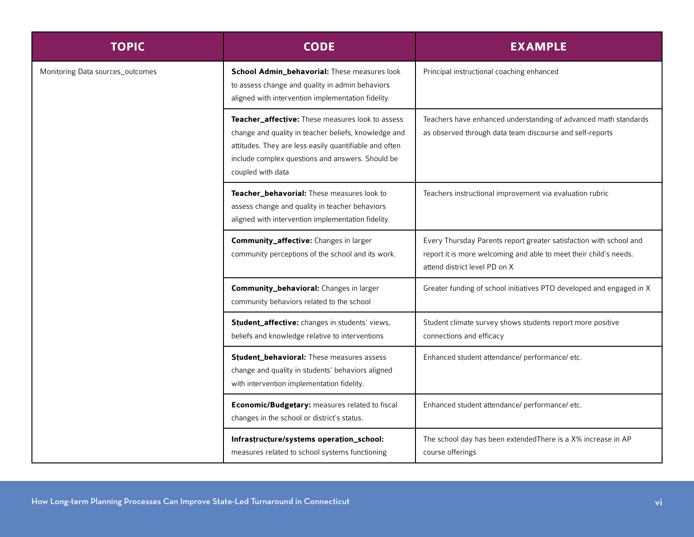| <b>TOPIC</b>                     | <b>CODE</b>                                                                                                                                                                                                                                 | <b>EXAMPLE</b>                                                                                                                                                           |
|----------------------------------|---------------------------------------------------------------------------------------------------------------------------------------------------------------------------------------------------------------------------------------------|--------------------------------------------------------------------------------------------------------------------------------------------------------------------------|
| Monitoring Data sources_outcomes | School Admin_behavorial: These measures look<br>to assess change and quality in admin behaviors<br>aligned with intervention implementation fidelity.                                                                                       | Principal instructional coaching enhanced                                                                                                                                |
|                                  | Teacher_affective: These measures look to assess<br>change and quality in teacher beliefs, knowledge and<br>attitudes. They are less easily quantifiable and often<br>include complex questions and answers. Should be<br>coupled with data | Teachers have enhanced understanding of advanced math standards<br>as observed through data team discourse and self-reports                                              |
|                                  | Teacher_behavorial: These measures look to<br>assess change and quality in teacher behaviors<br>aligned with intervention implementation fidelity.                                                                                          | Teachers instructional improvement via evaluation rubric                                                                                                                 |
|                                  | <b>Community_affective:</b> Changes in larger<br>community perceptions of the school and its work.                                                                                                                                          | Every Thursday Parents report greater satisfaction with school and<br>report it is more welcoming and able to meet their child's needs.<br>attend district level PD on X |
|                                  | <b>Community_behavioral:</b> Changes in larger<br>community behaviors related to the school                                                                                                                                                 | Greater funding of school initiatives PTO developed and engaged in X                                                                                                     |
|                                  | Student_affective: changes in students' views,<br>beliefs and knowledge relative to interventions                                                                                                                                           | Student climate survey shows students report more positive<br>connections and efficacy                                                                                   |
|                                  | Student_behavioral: These measures assess<br>change and quality in students' behaviors aligned<br>with intervention implementation fidelity.                                                                                                | Enhanced student attendance/ performance/ etc.                                                                                                                           |
|                                  | Economic/Budgetary: measures related to fiscal<br>changes in the school or district's status.                                                                                                                                               | Enhanced student attendance/ performance/ etc.                                                                                                                           |
|                                  | Infrastructure/systems operation_school:<br>measures related to school systems functioning                                                                                                                                                  | The school day has been extended There is a X% increase in AP<br>course offerings                                                                                        |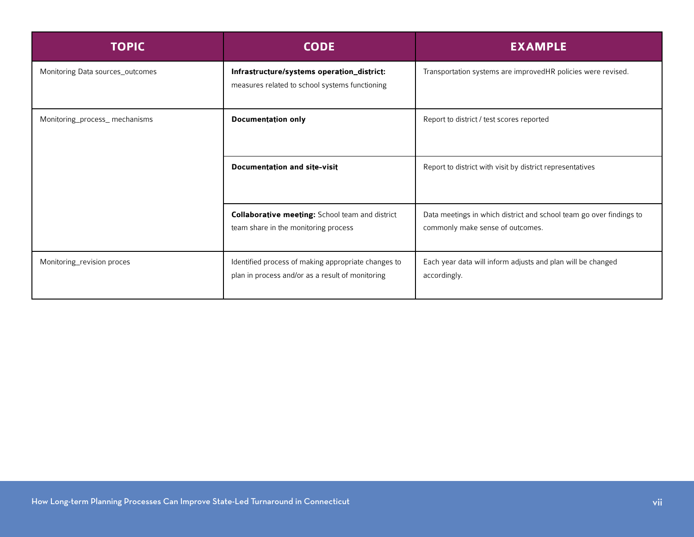| <b>TOPIC</b>                     | <b>CODE</b>                                                                                             | <b>EXAMPLE</b>                                                                                          |
|----------------------------------|---------------------------------------------------------------------------------------------------------|---------------------------------------------------------------------------------------------------------|
| Monitoring Data sources_outcomes | Infrastructure/systems operation_district:<br>measures related to school systems functioning            | Transportation systems are improvedHR policies were revised.                                            |
| Monitoring_process_ mechanisms   | <b>Documentation only</b>                                                                               | Report to district / test scores reported                                                               |
|                                  | <b>Documentation and site-visit</b>                                                                     | Report to district with visit by district representatives                                               |
|                                  | <b>Collaborative meeting:</b> School team and district<br>team share in the monitoring process          | Data meetings in which district and school team go over findings to<br>commonly make sense of outcomes. |
| Monitoring_revision proces       | Identified process of making appropriate changes to<br>plan in process and/or as a result of monitoring | Each year data will inform adjusts and plan will be changed<br>accordingly.                             |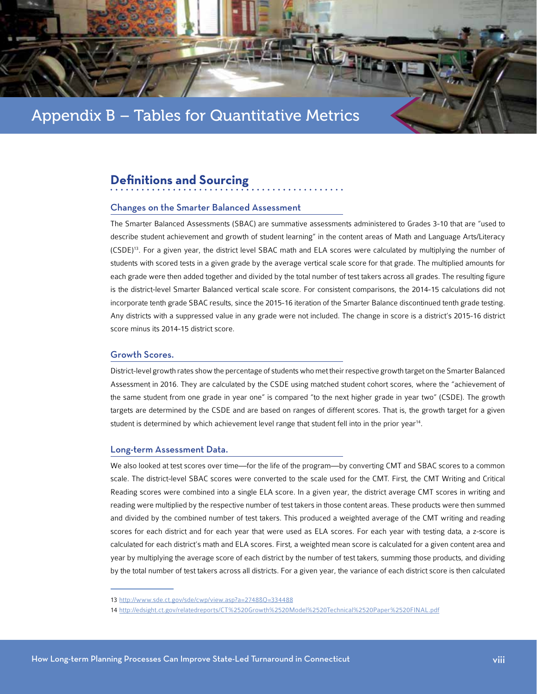<span id="page-42-0"></span>

# Appendix B – Tables for Quantitative Metrics

# **Definitions and Sourcing**

### Changes on the Smarter Balanced Assessment

The Smarter Balanced Assessments (SBAC) are summative assessments administered to Grades 3-10 that are "used to describe student achievement and growth of student learning" in the content areas of Math and Language Arts/Literacy (CSDE)13. For a given year, the district level SBAC math and ELA scores were calculated by multiplying the number of students with scored tests in a given grade by the average vertical scale score for that grade. The multiplied amounts for each grade were then added together and divided by the total number of test takers across all grades. The resulting figure is the district-level Smarter Balanced vertical scale score. For consistent comparisons, the 2014-15 calculations did not incorporate tenth grade SBAC results, since the 2015-16 iteration of the Smarter Balance discontinued tenth grade testing. Any districts with a suppressed value in any grade were not included. The change in score is a district's 2015-16 district score minus its 2014-15 district score.

#### Growth Scores.

District-level growth rates show the percentage of students who met their respective growth target on the Smarter Balanced Assessment in 2016. They are calculated by the CSDE using matched student cohort scores, where the "achievement of the same student from one grade in year one" is compared "to the next higher grade in year two" (CSDE). The growth targets are determined by the CSDE and are based on ranges of different scores. That is, the growth target for a given student is determined by which achievement level range that student fell into in the prior year<sup>14</sup>.

#### Long-term Assessment Data.

We also looked at test scores over time—for the life of the program—by converting CMT and SBAC scores to a common scale. The district-level SBAC scores were converted to the scale used for the CMT. First, the CMT Writing and Critical Reading scores were combined into a single ELA score. In a given year, the district average CMT scores in writing and reading were multiplied by the respective number of test takers in those content areas. These products were then summed and divided by the combined number of test takers. This produced a weighted average of the CMT writing and reading scores for each district and for each year that were used as ELA scores. For each year with testing data, a z-score is calculated for each district's math and ELA scores. First, a weighted mean score is calculated for a given content area and year by multiplying the average score of each district by the number of test takers, summing those products, and dividing by the total number of test takers across all districts. For a given year, the variance of each district score is then calculated

<sup>13</sup> <http://www.sde.ct.gov/sde/cwp/view.asp?a=2748&Q=334488>

<sup>14</sup> <http://edsight.ct.gov/relatedreports/CT%2520Growth%2520Model%2520Technical%2520Paper%2520FINAL.pdf>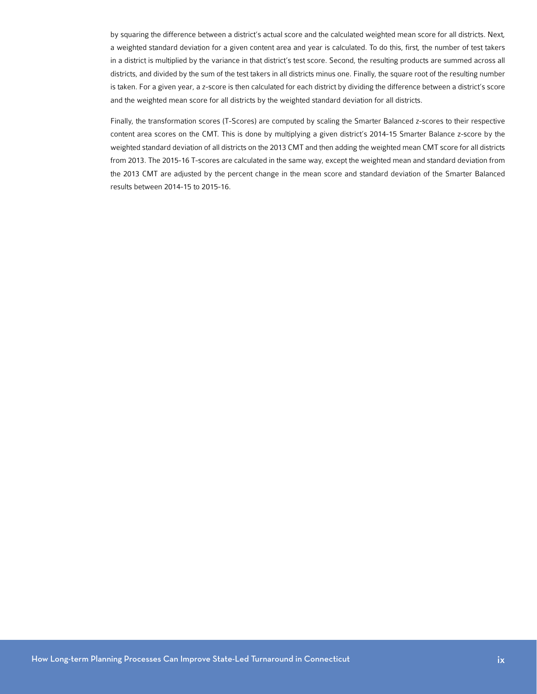by squaring the difference between a district's actual score and the calculated weighted mean score for all districts. Next, a weighted standard deviation for a given content area and year is calculated. To do this, first, the number of test takers in a district is multiplied by the variance in that district's test score. Second, the resulting products are summed across all districts, and divided by the sum of the test takers in all districts minus one. Finally, the square root of the resulting number is taken. For a given year, a z-score is then calculated for each district by dividing the difference between a district's score and the weighted mean score for all districts by the weighted standard deviation for all districts.

Finally, the transformation scores (T-Scores) are computed by scaling the Smarter Balanced z-scores to their respective content area scores on the CMT. This is done by multiplying a given district's 2014-15 Smarter Balance z-score by the weighted standard deviation of all districts on the 2013 CMT and then adding the weighted mean CMT score for all districts from 2013. The 2015-16 T-scores are calculated in the same way, except the weighted mean and standard deviation from the 2013 CMT are adjusted by the percent change in the mean score and standard deviation of the Smarter Balanced results between 2014-15 to 2015-16.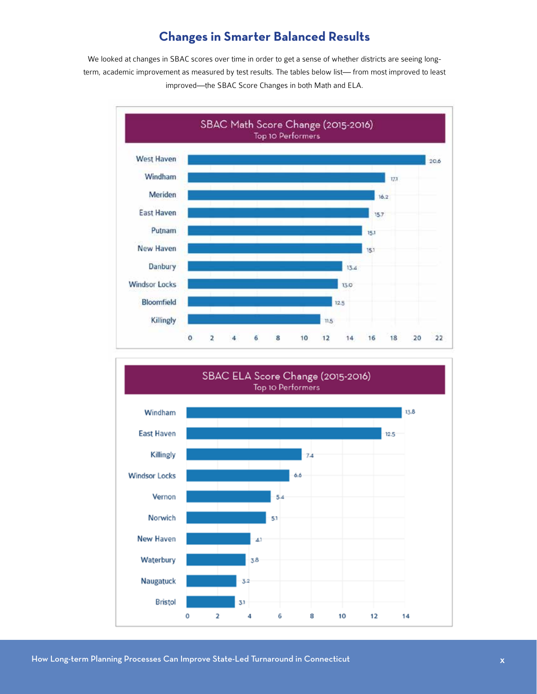### **Changes in Smarter Balanced Results**

We looked at changes in SBAC scores over time in order to get a sense of whether districts are seeing longterm, academic improvement as measured by test results. The tables below list— from most improved to least improved—the SBAC Score Changes in both Math and ELA.



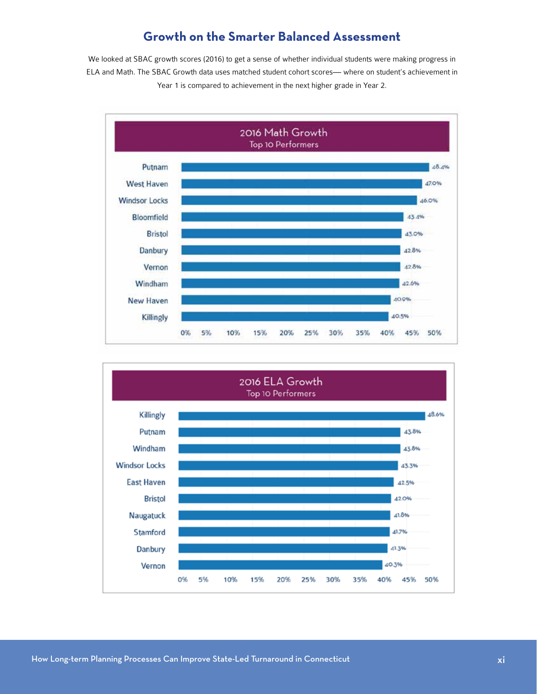### **Growth on the Smarter Balanced Assessment**

We looked at SBAC growth scores (2016) to get a sense of whether individual students were making progress in ELA and Math. The SBAC Growth data uses matched student cohort scores— where on student's achievement in Year 1 is compared to achievement in the next higher grade in Year 2.